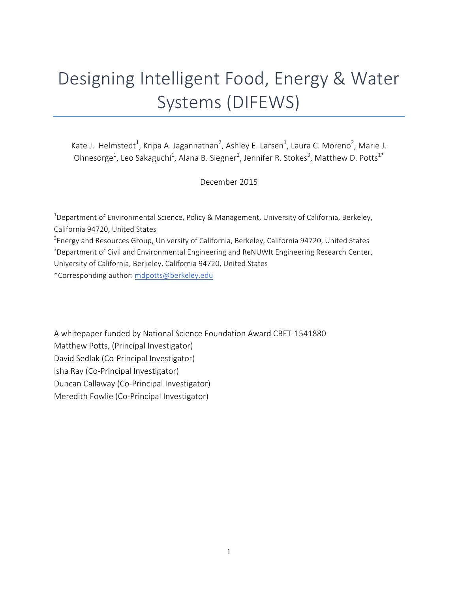# Designing Intelligent Food, Energy & Water Systems (DIFEWS)

Kate J. Helmstedt<sup>1</sup>, Kripa A. Jagannathan<sup>2</sup>, Ashley E. Larsen<sup>1</sup>, Laura C. Moreno<sup>2</sup>, Marie J. Ohnesorge<sup>1</sup>, Leo Sakaguchi<sup>1</sup>, Alana B. Siegner<sup>2</sup>, Jennifer R. Stokes<sup>3</sup>, Matthew D. Potts<sup>1\*</sup>

December 2015

<sup>1</sup>Department of Environmental Science, Policy & Management, University of California, Berkeley, California 94720, United States

 $^{2}$ Energy and Resources Group, University of California, Berkeley, California 94720, United States

 $3$ Department of Civil and Environmental Engineering and ReNUWIt Engineering Research Center, University of California, Berkeley, California 94720, United States

\*Corresponding author: mdpotts@berkeley.edu

A whitepaper funded by National Science Foundation Award CBET-1541880 Matthew Potts, (Principal Investigator) David Sedlak (Co-Principal Investigator) Isha Ray (Co-Principal Investigator) Duncan Callaway (Co-Principal Investigator) Meredith Fowlie (Co-Principal Investigator)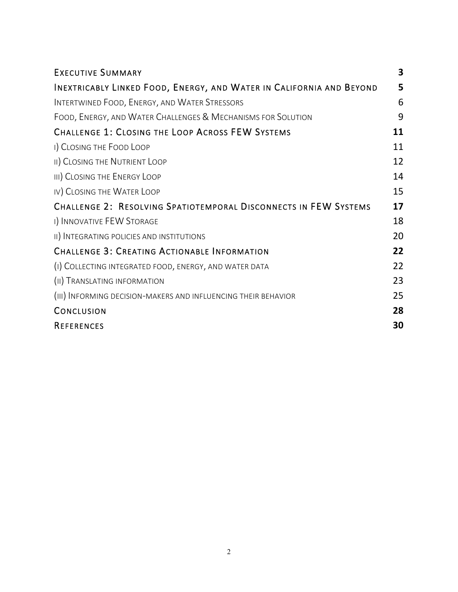| <b>EXECUTIVE SUMMARY</b>                                             | 3  |
|----------------------------------------------------------------------|----|
| INEXTRICABLY LINKED FOOD, ENERGY, AND WATER IN CALIFORNIA AND BEYOND | 5  |
| INTERTWINED FOOD, ENERGY, AND WATER STRESSORS                        | 6  |
| FOOD, ENERGY, AND WATER CHALLENGES & MECHANISMS FOR SOLUTION         | 9  |
| <b>CHALLENGE 1: CLOSING THE LOOP ACROSS FEW SYSTEMS</b>              | 11 |
| I) CLOSING THE FOOD LOOP                                             | 11 |
| II) CLOSING THE NUTRIENT LOOP                                        | 12 |
| III) CLOSING THE ENERGY LOOP                                         | 14 |
| IV) CLOSING THE WATER LOOP                                           | 15 |
| CHALLENGE 2: RESOLVING SPATIOTEMPORAL DISCONNECTS IN FEW SYSTEMS     | 17 |
| I) INNOVATIVE FEW STORAGE                                            | 18 |
| II) INTEGRATING POLICIES AND INSTITUTIONS                            | 20 |
| <b>CHALLENGE 3: CREATING ACTIONABLE INFORMATION</b>                  | 22 |
| (I) COLLECTING INTEGRATED FOOD, ENERGY, AND WATER DATA               | 22 |
| (II) TRANSLATING INFORMATION                                         | 23 |
| (III) INFORMING DECISION-MAKERS AND INFLUENCING THEIR BEHAVIOR       | 25 |
| CONCLUSION                                                           | 28 |
| <b>REFERENCES</b>                                                    | 30 |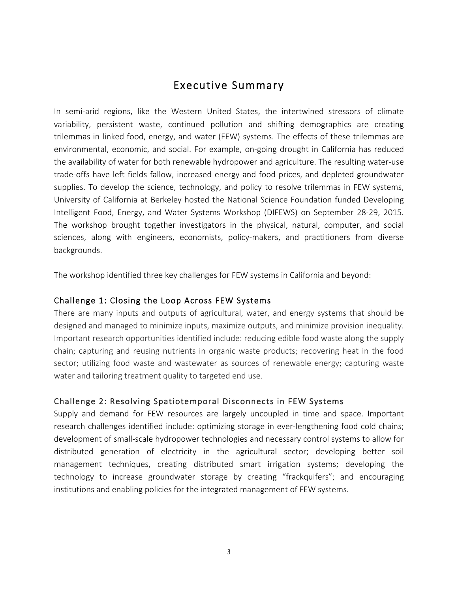# Executive Summary

In semi-arid regions, like the Western United States, the intertwined stressors of climate variability, persistent waste, continued pollution and shifting demographics are creating trilemmas in linked food, energy, and water (FEW) systems. The effects of these trilemmas are environmental, economic, and social. For example, on-going drought in California has reduced the availability of water for both renewable hydropower and agriculture. The resulting water-use trade-offs have left fields fallow, increased energy and food prices, and depleted groundwater supplies. To develop the science, technology, and policy to resolve trilemmas in FEW systems, University of California at Berkeley hosted the National Science Foundation funded Developing Intelligent Food, Energy, and Water Systems Workshop (DIFEWS) on September 28-29, 2015. The workshop brought together investigators in the physical, natural, computer, and social sciences, along with engineers, economists, policy-makers, and practitioners from diverse backgrounds.

The workshop identified three key challenges for FEW systems in California and beyond:

# Challenge 1: Closing the Loop Across FEW Systems

There are many inputs and outputs of agricultural, water, and energy systems that should be designed and managed to minimize inputs, maximize outputs, and minimize provision inequality. Important research opportunities identified include: reducing edible food waste along the supply chain; capturing and reusing nutrients in organic waste products; recovering heat in the food sector; utilizing food waste and wastewater as sources of renewable energy; capturing waste water and tailoring treatment quality to targeted end use.

# Challenge 2: Resolving Spatiotemporal Disconnects in FEW Systems

Supply and demand for FEW resources are largely uncoupled in time and space. Important research challenges identified include: optimizing storage in ever-lengthening food cold chains; development of small-scale hydropower technologies and necessary control systems to allow for distributed generation of electricity in the agricultural sector; developing better soil management techniques, creating distributed smart irrigation systems; developing the technology to increase groundwater storage by creating "frackquifers"; and encouraging institutions and enabling policies for the integrated management of FEW systems.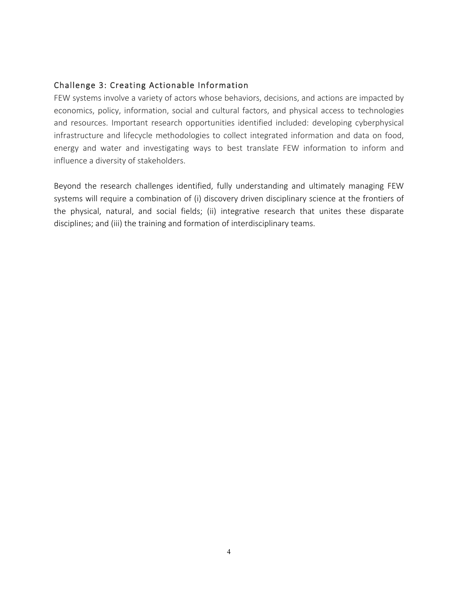# Challenge 3: Creating Actionable Information

FEW systems involve a variety of actors whose behaviors, decisions, and actions are impacted by economics, policy, information, social and cultural factors, and physical access to technologies and resources. Important research opportunities identified included: developing cyberphysical infrastructure and lifecycle methodologies to collect integrated information and data on food, energy and water and investigating ways to best translate FEW information to inform and influence a diversity of stakeholders.

Beyond the research challenges identified, fully understanding and ultimately managing FEW systems will require a combination of (i) discovery driven disciplinary science at the frontiers of the physical, natural, and social fields; (ii) integrative research that unites these disparate disciplines; and (iii) the training and formation of interdisciplinary teams.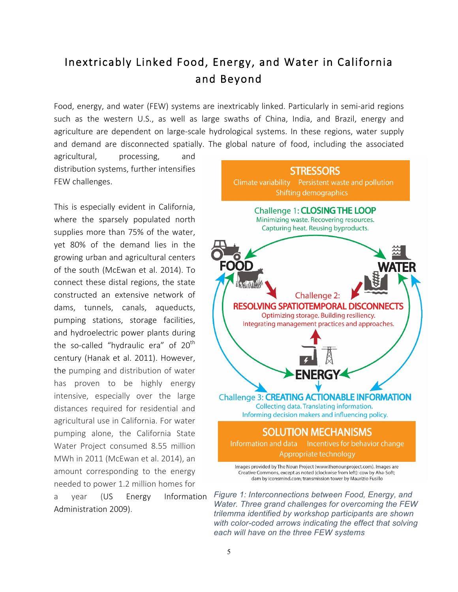# Inextricably Linked Food, Energy, and Water in California and Beyond

Food, energy, and water (FEW) systems are inextricably linked. Particularly in semi-arid regions such as the western U.S., as well as large swaths of China, India, and Brazil, energy and agriculture are dependent on large-scale hydrological systems. In these regions, water supply and demand are disconnected spatially. The global nature of food, including the associated

agricultural, processing, and distribution systems, further intensifies FEW challenges.

This is especially evident in California, where the sparsely populated north supplies more than 75% of the water, yet 80% of the demand lies in the growing urban and agricultural centers of the south (McEwan et al. 2014). To connect these distal regions, the state constructed an extensive network of dams, tunnels, canals, aqueducts, pumping stations, storage facilities, and hydroelectric power plants during the so-called "hydraulic era" of  $20<sup>th</sup>$ century (Hanak et al. 2011). However, the pumping and distribution of water has proven to be highly energy intensive, especially over the large distances required for residential and agricultural use in California. For water pumping alone, the California State Water Project consumed 8.55 million MWh in 2011 (McEwan et al. 2014), an amount corresponding to the energy needed to power 1.2 million homes for

a year (US Energy Information Administration 2009).



*Figure 1: Interconnections between Food, Energy, and Water. Three grand challenges for overcoming the FEW trilemma identified by workshop participants are shown with color-coded arrows indicating the effect that solving each will have on the three FEW systems*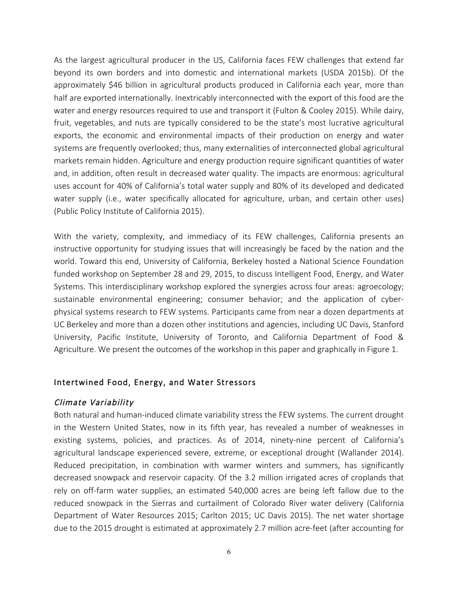As the largest agricultural producer in the US, California faces FEW challenges that extend far beyond its own borders and into domestic and international markets (USDA 2015b). Of the approximately \$46 billion in agricultural products produced in California each year, more than half are exported internationally. Inextricably interconnected with the export of this food are the water and energy resources required to use and transport it (Fulton & Cooley 2015). While dairy, fruit, vegetables, and nuts are typically considered to be the state's most lucrative agricultural exports, the economic and environmental impacts of their production on energy and water systems are frequently overlooked; thus, many externalities of interconnected global agricultural markets remain hidden. Agriculture and energy production require significant quantities of water and, in addition, often result in decreased water quality. The impacts are enormous: agricultural uses account for 40% of California's total water supply and 80% of its developed and dedicated water supply (i.e., water specifically allocated for agriculture, urban, and certain other uses) (Public Policy Institute of California 2015).

With the variety, complexity, and immediacy of its FEW challenges, California presents an instructive opportunity for studying issues that will increasingly be faced by the nation and the world. Toward this end, University of California, Berkeley hosted a National Science Foundation funded workshop on September 28 and 29, 2015, to discuss Intelligent Food, Energy, and Water Systems. This interdisciplinary workshop explored the synergies across four areas: agroecology; sustainable environmental engineering; consumer behavior; and the application of cyberphysical systems research to FEW systems. Participants came from near a dozen departments at UC Berkeley and more than a dozen other institutions and agencies, including UC Davis, Stanford University, Pacific Institute, University of Toronto, and California Department of Food & Agriculture. We present the outcomes of the workshop in this paper and graphically in Figure 1.

# Intertwined Food, Energy, and Water Stressors

#### Climate Variability

Both natural and human-induced climate variability stress the FEW systems. The current drought in the Western United States, now in its fifth year, has revealed a number of weaknesses in existing systems, policies, and practices. As of 2014, ninety-nine percent of California's agricultural landscape experienced severe, extreme, or exceptional drought (Wallander 2014). Reduced precipitation, in combination with warmer winters and summers, has significantly decreased snowpack and reservoir capacity. Of the 3.2 million irrigated acres of croplands that rely on off-farm water supplies, an estimated 540,000 acres are being left fallow due to the reduced snowpack in the Sierras and curtailment of Colorado River water delivery (California Department of Water Resources 2015; Carlton 2015; UC Davis 2015). The net water shortage due to the 2015 drought is estimated at approximately 2.7 million acre-feet (after accounting for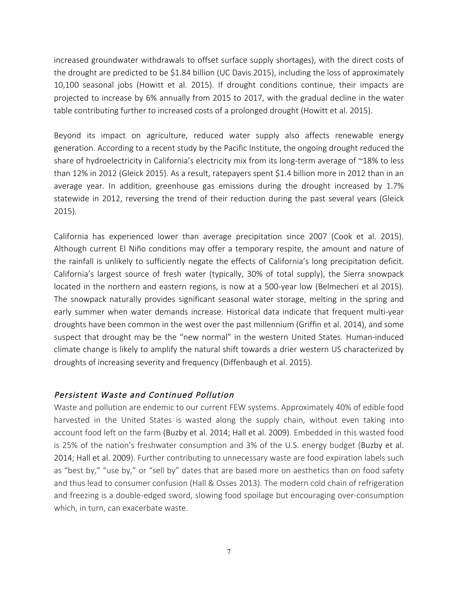increased groundwater withdrawals to offset surface supply shortages), with the direct costs of the drought are predicted to be \$1.84 billion (UC Davis 2015), including the loss of approximately 10,100 seasonal jobs (Howitt et al. 2015). If drought conditions continue, their impacts are projected to increase by 6% annually from 2015 to 2017, with the gradual decline in the water table contributing further to increased costs of a prolonged drought (Howitt et al. 2015).

Beyond its impact on agriculture, reduced water supply also affects renewable energy generation. According to a recent study by the Pacific Institute, the ongoing drought reduced the share of hydroelectricity in California's electricity mix from its long-term average of ~18% to less than 12% in 2012 (Gleick 2015). As a result, ratepayers spent \$1.4 billion more in 2012 than in an average year. In addition, greenhouse gas emissions during the drought increased by 1.7% statewide in 2012, reversing the trend of their reduction during the past several years (Gleick 2015).

California has experienced lower than average precipitation since 2007 (Cook et al. 2015). Although current El Niño conditions may offer a temporary respite, the amount and nature of the rainfall is unlikely to sufficiently negate the effects of California's long precipitation deficit. California's largest source of fresh water (typically, 30% of total supply), the Sierra snowpack located in the northern and eastern regions, is now at a 500-year low (Belmecheri et al 2015). The snowpack naturally provides significant seasonal water storage, melting in the spring and early summer when water demands increase. Historical data indicate that frequent multi-year droughts have been common in the west over the past millennium (Griffin et al. 2014), and some suspect that drought may be the "new normal" in the western United States. Human-induced climate change is likely to amplify the natural shift towards a drier western US characterized by droughts of increasing severity and frequency (Diffenbaugh et al. 2015).

# Persistent Waste and Continued Pollution

Waste and pollution are endemic to our current FEW systems. Approximately 40% of edible food harvested in the United States is wasted along the supply chain, without even taking into account food left on the farm (Buzby et al. 2014; Hall et al. 2009). Embedded in this wasted food is 25% of the nation's freshwater consumption and 3% of the U.S. energy budget (Buzby et al. 2014; Hall et al. 2009). Further contributing to unnecessary waste are food expiration labels such as "best by," "use by," or "sell by" dates that are based more on aesthetics than on food safety and thus lead to consumer confusion (Hall & Osses 2013). The modern cold chain of refrigeration and freezing is a double-edged sword, slowing food spoilage but encouraging over-consumption which, in turn, can exacerbate waste.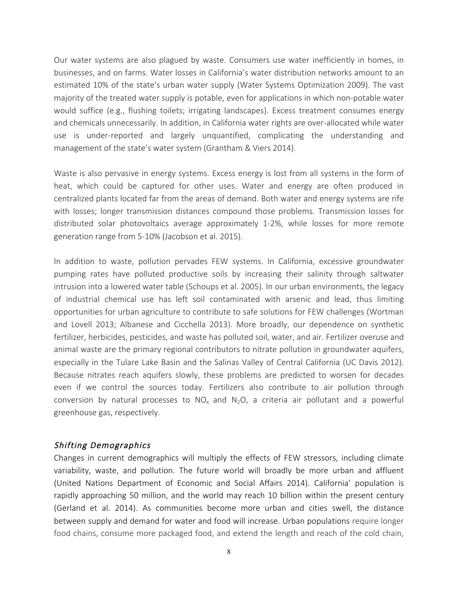Our water systems are also plagued by waste. Consumers use water inefficiently in homes, in businesses, and on farms. Water losses in California's water distribution networks amount to an estimated 10% of the state's urban water supply (Water Systems Optimization 2009). The vast majority of the treated water supply is potable, even for applications in which non-potable water would suffice (e.g., flushing toilets; irrigating landscapes). Excess treatment consumes energy and chemicals unnecessarily. In addition, in California water rights are over-allocated while water use is under-reported and largely unquantified, complicating the understanding and management of the state's water system (Grantham & Viers 2014).

Waste is also pervasive in energy systems. Excess energy is lost from all systems in the form of heat, which could be captured for other uses. Water and energy are often produced in centralized plants located far from the areas of demand. Both water and energy systems are rife with losses; longer transmission distances compound those problems. Transmission losses for distributed solar photovoltaics average approximately 1-2%, while losses for more remote generation range from 5-10% (Jacobson et al. 2015).

In addition to waste, pollution pervades FEW systems. In California, excessive groundwater pumping rates have polluted productive soils by increasing their salinity through saltwater intrusion into a lowered water table (Schoups et al. 2005). In our urban environments, the legacy of industrial chemical use has left soil contaminated with arsenic and lead, thus limiting opportunities for urban agriculture to contribute to safe solutions for FEW challenges (Wortman and Lovell 2013; Albanese and Cicchella 2013). More broadly, our dependence on synthetic fertilizer, herbicides, pesticides, and waste has polluted soil, water, and air. Fertilizer overuse and animal waste are the primary regional contributors to nitrate pollution in groundwater aquifers, especially in the Tulare Lake Basin and the Salinas Valley of Central California (UC Davis 2012). Because nitrates reach aquifers slowly, these problems are predicted to worsen for decades even if we control the sources today. Fertilizers also contribute to air pollution through conversion by natural processes to  $NO_x$  and  $N_2O$ , a criteria air pollutant and a powerful greenhouse gas, respectively.

# Shifting Demographics

Changes in current demographics will multiply the effects of FEW stressors, including climate variability, waste, and pollution. The future world will broadly be more urban and affluent (United Nations Department of Economic and Social Affairs 2014). California' population is rapidly approaching 50 million, and the world may reach 10 billion within the present century (Gerland et al. 2014). As communities become more urban and cities swell, the distance between supply and demand for water and food will increase. Urban populations require longer food chains, consume more packaged food, and extend the length and reach of the cold chain,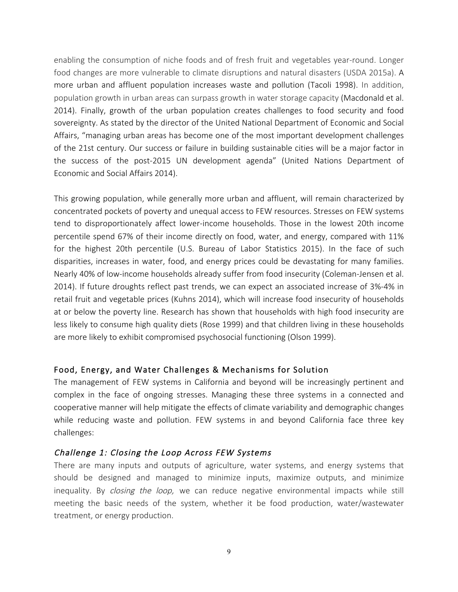enabling the consumption of niche foods and of fresh fruit and vegetables year-round. Longer food changes are more vulnerable to climate disruptions and natural disasters (USDA 2015a). A more urban and affluent population increases waste and pollution (Tacoli 1998). In addition, population growth in urban areas can surpass growth in water storage capacity (Macdonald et al. 2014). Finally, growth of the urban population creates challenges to food security and food sovereignty. As stated by the director of the United National Department of Economic and Social Affairs, "managing urban areas has become one of the most important development challenges of the 21st century. Our success or failure in building sustainable cities will be a major factor in the success of the post-2015 UN development agenda" (United Nations Department of Economic and Social Affairs 2014).

This growing population, while generally more urban and affluent, will remain characterized by concentrated pockets of poverty and unequal access to FEW resources. Stresses on FEW systems tend to disproportionately affect lower-income households. Those in the lowest 20th income percentile spend 67% of their income directly on food, water, and energy, compared with 11% for the highest 20th percentile (U.S. Bureau of Labor Statistics 2015). In the face of such disparities, increases in water, food, and energy prices could be devastating for many families. Nearly 40% of low-income households already suffer from food insecurity (Coleman-Jensen et al. 2014). If future droughts reflect past trends, we can expect an associated increase of 3%-4% in retail fruit and vegetable prices (Kuhns 2014), which will increase food insecurity of households at or below the poverty line. Research has shown that households with high food insecurity are less likely to consume high quality diets (Rose 1999) and that children living in these households are more likely to exhibit compromised psychosocial functioning (Olson 1999).

#### Food, Energy, and Water Challenges & Mechanisms for Solution

The management of FEW systems in California and beyond will be increasingly pertinent and complex in the face of ongoing stresses. Managing these three systems in a connected and cooperative manner will help mitigate the effects of climate variability and demographic changes while reducing waste and pollution. FEW systems in and beyond California face three key challenges:

# Challenge 1: Closing the Loop Across FEW Systems

There are many inputs and outputs of agriculture, water systems, and energy systems that should be designed and managed to minimize inputs, maximize outputs, and minimize inequality. By *closing the loop*, we can reduce negative environmental impacts while still meeting the basic needs of the system, whether it be food production, water/wastewater treatment, or energy production.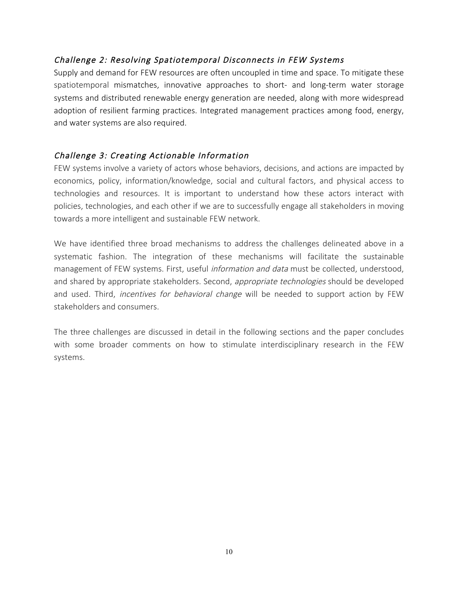# Challenge 2: Resolving Spatiotemporal Disconnects in FEW Systems

Supply and demand for FEW resources are often uncoupled in time and space. To mitigate these spatiotemporal mismatches, innovative approaches to short- and long-term water storage systems and distributed renewable energy generation are needed, along with more widespread adoption of resilient farming practices. Integrated management practices among food, energy, and water systems are also required.

# Challenge 3: Creating Actionable Information

FEW systems involve a variety of actors whose behaviors, decisions, and actions are impacted by economics, policy, information/knowledge, social and cultural factors, and physical access to technologies and resources. It is important to understand how these actors interact with policies, technologies, and each other if we are to successfully engage all stakeholders in moving towards a more intelligent and sustainable FEW network.

We have identified three broad mechanisms to address the challenges delineated above in a systematic fashion. The integration of these mechanisms will facilitate the sustainable management of FEW systems. First, useful information and data must be collected, understood, and shared by appropriate stakeholders. Second, *appropriate technologies* should be developed and used. Third, *incentives for behavioral change* will be needed to support action by FEW stakeholders and consumers.

The three challenges are discussed in detail in the following sections and the paper concludes with some broader comments on how to stimulate interdisciplinary research in the FEW systems.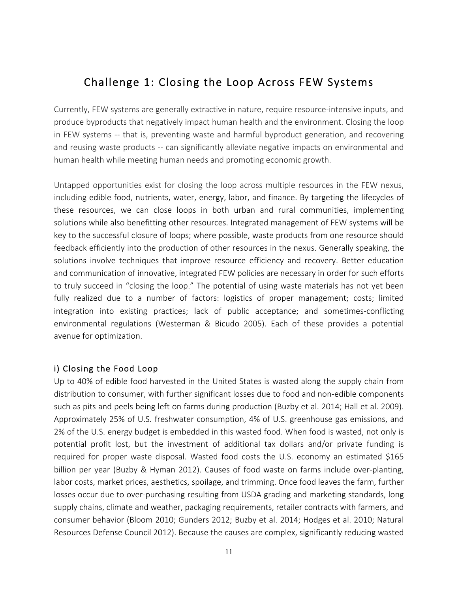# Challenge 1: Closing the Loop Across FEW Systems

Currently, FEW systems are generally extractive in nature, require resource-intensive inputs, and produce byproducts that negatively impact human health and the environment. Closing the loop in FEW systems -- that is, preventing waste and harmful byproduct generation, and recovering and reusing waste products -- can significantly alleviate negative impacts on environmental and human health while meeting human needs and promoting economic growth.

Untapped opportunities exist for closing the loop across multiple resources in the FEW nexus, including edible food, nutrients, water, energy, labor, and finance. By targeting the lifecycles of these resources, we can close loops in both urban and rural communities, implementing solutions while also benefitting other resources. Integrated management of FEW systems will be key to the successful closure of loops; where possible, waste products from one resource should feedback efficiently into the production of other resources in the nexus. Generally speaking, the solutions involve techniques that improve resource efficiency and recovery. Better education and communication of innovative, integrated FEW policies are necessary in order for such efforts to truly succeed in "closing the loop." The potential of using waste materials has not yet been fully realized due to a number of factors: logistics of proper management; costs; limited integration into existing practices; lack of public acceptance; and sometimes-conflicting environmental regulations (Westerman & Bicudo 2005). Each of these provides a potential avenue for optimization.

#### i) Closing the Food Loop

Up to 40% of edible food harvested in the United States is wasted along the supply chain from distribution to consumer, with further significant losses due to food and non-edible components such as pits and peels being left on farms during production (Buzby et al. 2014; Hall et al. 2009). Approximately 25% of U.S. freshwater consumption, 4% of U.S. greenhouse gas emissions, and 2% of the U.S. energy budget is embedded in this wasted food. When food is wasted, not only is potential profit lost, but the investment of additional tax dollars and/or private funding is required for proper waste disposal. Wasted food costs the U.S. economy an estimated \$165 billion per year (Buzby & Hyman 2012). Causes of food waste on farms include over-planting, labor costs, market prices, aesthetics, spoilage, and trimming. Once food leaves the farm, further losses occur due to over-purchasing resulting from USDA grading and marketing standards, long supply chains, climate and weather, packaging requirements, retailer contracts with farmers, and consumer behavior (Bloom 2010; Gunders 2012; Buzby et al. 2014; Hodges et al. 2010; Natural Resources Defense Council 2012). Because the causes are complex, significantly reducing wasted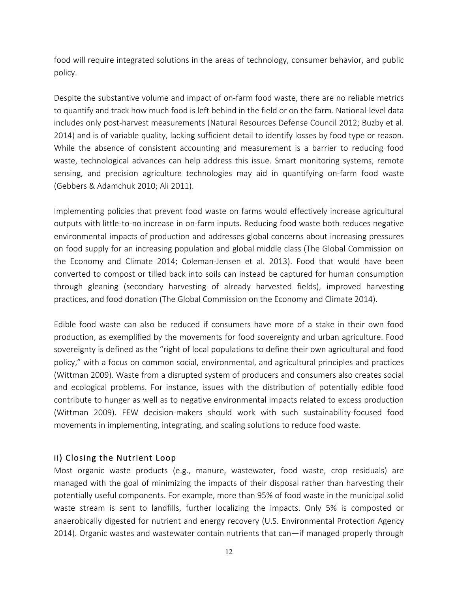food will require integrated solutions in the areas of technology, consumer behavior, and public policy.

Despite the substantive volume and impact of on-farm food waste, there are no reliable metrics to quantify and track how much food is left behind in the field or on the farm. National-level data includes only post-harvest measurements (Natural Resources Defense Council 2012; Buzby et al. 2014) and is of variable quality, lacking sufficient detail to identify losses by food type or reason. While the absence of consistent accounting and measurement is a barrier to reducing food waste, technological advances can help address this issue. Smart monitoring systems, remote sensing, and precision agriculture technologies may aid in quantifying on-farm food waste (Gebbers & Adamchuk 2010; Ali 2011).

Implementing policies that prevent food waste on farms would effectively increase agricultural outputs with little-to-no increase in on-farm inputs. Reducing food waste both reduces negative environmental impacts of production and addresses global concerns about increasing pressures on food supply for an increasing population and global middle class (The Global Commission on the Economy and Climate 2014; Coleman-Jensen et al. 2013). Food that would have been converted to compost or tilled back into soils can instead be captured for human consumption through gleaning (secondary harvesting of already harvested fields), improved harvesting practices, and food donation (The Global Commission on the Economy and Climate 2014).

Edible food waste can also be reduced if consumers have more of a stake in their own food production, as exemplified by the movements for food sovereignty and urban agriculture. Food sovereignty is defined as the "right of local populations to define their own agricultural and food policy," with a focus on common social, environmental, and agricultural principles and practices (Wittman 2009). Waste from a disrupted system of producers and consumers also creates social and ecological problems. For instance, issues with the distribution of potentially edible food contribute to hunger as well as to negative environmental impacts related to excess production (Wittman 2009). FEW decision-makers should work with such sustainability-focused food movements in implementing, integrating, and scaling solutions to reduce food waste.

# ii) Closing the Nutrient Loop

Most organic waste products (e.g., manure, wastewater, food waste, crop residuals) are managed with the goal of minimizing the impacts of their disposal rather than harvesting their potentially useful components. For example, more than 95% of food waste in the municipal solid waste stream is sent to landfills, further localizing the impacts. Only 5% is composted or anaerobically digested for nutrient and energy recovery (U.S. Environmental Protection Agency 2014). Organic wastes and wastewater contain nutrients that can—if managed properly through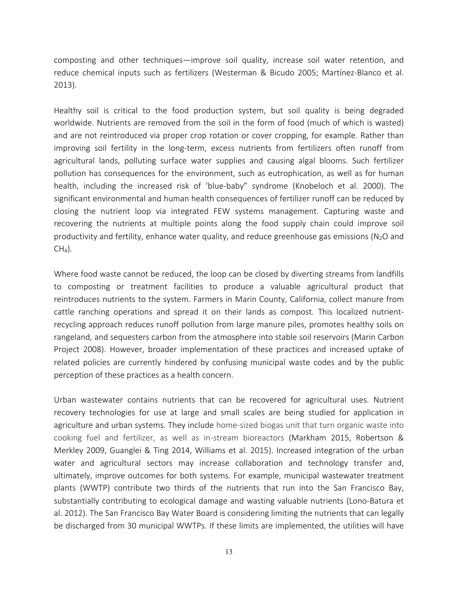composting and other techniques—improve soil quality, increase soil water retention, and reduce chemical inputs such as fertilizers (Westerman & Bicudo 2005; Martínez-Blanco et al. 2013).

Healthy soil is critical to the food production system, but soil quality is being degraded worldwide. Nutrients are removed from the soil in the form of food (much of which is wasted) and are not reintroduced via proper crop rotation or cover cropping, for example. Rather than improving soil fertility in the long-term, excess nutrients from fertilizers often runoff from agricultural lands, polluting surface water supplies and causing algal blooms. Such fertilizer pollution has consequences for the environment, such as eutrophication, as well as for human health, including the increased risk of 'blue-baby" syndrome (Knobeloch et al. 2000). The significant environmental and human health consequences of fertilizer runoff can be reduced by closing the nutrient loop via integrated FEW systems management. Capturing waste and recovering the nutrients at multiple points along the food supply chain could improve soil productivity and fertility, enhance water quality, and reduce greenhouse gas emissions ( $N<sub>2</sub>O$  and  $CH<sub>4</sub>$ ).

Where food waste cannot be reduced, the loop can be closed by diverting streams from landfills to composting or treatment facilities to produce a valuable agricultural product that reintroduces nutrients to the system. Farmers in Marin County, California, collect manure from cattle ranching operations and spread it on their lands as compost. This localized nutrientrecycling approach reduces runoff pollution from large manure piles, promotes healthy soils on rangeland, and sequesters carbon from the atmosphere into stable soil reservoirs (Marin Carbon Project 2008). However, broader implementation of these practices and increased uptake of related policies are currently hindered by confusing municipal waste codes and by the public perception of these practices as a health concern.

Urban wastewater contains nutrients that can be recovered for agricultural uses. Nutrient recovery technologies for use at large and small scales are being studied for application in agriculture and urban systems. They include home-sized biogas unit that turn organic waste into cooking fuel and fertilizer, as well as in-stream bioreactors (Markham 2015, Robertson & Merkley 2009, Guanglei & Ting 2014, Williams et al. 2015). Increased integration of the urban water and agricultural sectors may increase collaboration and technology transfer and, ultimately, improve outcomes for both systems. For example, municipal wastewater treatment plants (WWTP) contribute two thirds of the nutrients that run into the San Francisco Bay, substantially contributing to ecological damage and wasting valuable nutrients (Lono-Batura et al. 2012). The San Francisco Bay Water Board is considering limiting the nutrients that can legally be discharged from 30 municipal WWTPs. If these limits are implemented, the utilities will have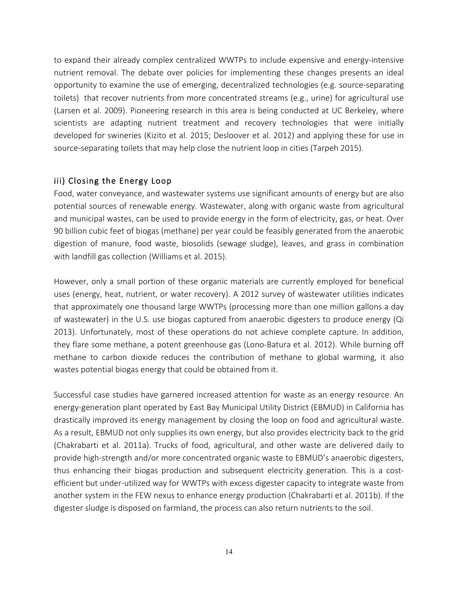to expand their already complex centralized WWTPs to include expensive and energy-intensive nutrient removal. The debate over policies for implementing these changes presents an ideal opportunity to examine the use of emerging, decentralized technologies (e.g. source-separating toilets) that recover nutrients from more concentrated streams (e.g., urine) for agricultural use (Larsen et al. 2009). Pioneering research in this area is being conducted at UC Berkeley, where scientists are adapting nutrient treatment and recovery technologies that were initially developed for swineries (Kizito et al. 2015; Desloover et al. 2012) and applying these for use in source-separating toilets that may help close the nutrient loop in cities (Tarpeh 2015).

# iii) Closing the Energy Loop

Food, water conveyance, and wastewater systems use significant amounts of energy but are also potential sources of renewable energy. Wastewater, along with organic waste from agricultural and municipal wastes, can be used to provide energy in the form of electricity, gas, or heat. Over 90 billion cubic feet of biogas (methane) per year could be feasibly generated from the anaerobic digestion of manure, food waste, biosolids (sewage sludge), leaves, and grass in combination with landfill gas collection (Williams et al. 2015).

However, only a small portion of these organic materials are currently employed for beneficial uses (energy, heat, nutrient, or water recovery). A 2012 survey of wastewater utilities indicates that approximately one thousand large WWTPs (processing more than one million gallons a day of wastewater) in the U.S. use biogas captured from anaerobic digesters to produce energy (Qi 2013). Unfortunately, most of these operations do not achieve complete capture. In addition, they flare some methane, a potent greenhouse gas (Lono-Batura et al. 2012). While burning off methane to carbon dioxide reduces the contribution of methane to global warming, it also wastes potential biogas energy that could be obtained from it.

Successful case studies have garnered increased attention for waste as an energy resource. An energy-generation plant operated by East Bay Municipal Utility District (EBMUD) in California has drastically improved its energy management by closing the loop on food and agricultural waste. As a result, EBMUD not only supplies its own energy, but also provides electricity back to the grid (Chakrabarti et al. 2011a). Trucks of food, agricultural, and other waste are delivered daily to provide high-strength and/or more concentrated organic waste to EBMUD's anaerobic digesters, thus enhancing their biogas production and subsequent electricity generation. This is a costefficient but under-utilized way for WWTPs with excess digester capacity to integrate waste from another system in the FEW nexus to enhance energy production (Chakrabarti et al. 2011b). If the digester sludge is disposed on farmland, the process can also return nutrients to the soil.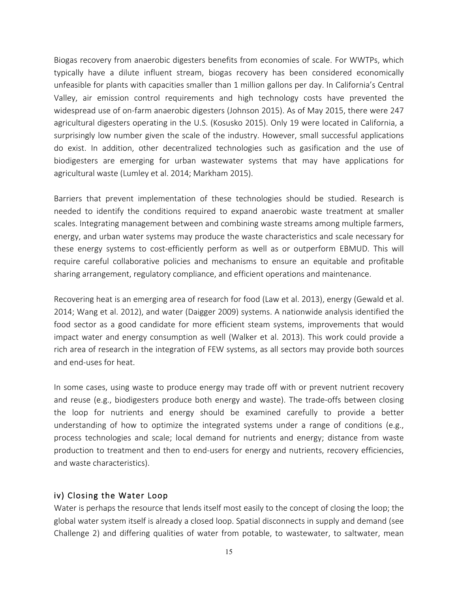Biogas recovery from anaerobic digesters benefits from economies of scale. For WWTPs, which typically have a dilute influent stream, biogas recovery has been considered economically unfeasible for plants with capacities smaller than 1 million gallons per day. In California's Central Valley, air emission control requirements and high technology costs have prevented the widespread use of on-farm anaerobic digesters (Johnson 2015). As of May 2015, there were 247 agricultural digesters operating in the U.S. (Kosusko 2015). Only 19 were located in California, a surprisingly low number given the scale of the industry. However, small successful applications do exist. In addition, other decentralized technologies such as gasification and the use of biodigesters are emerging for urban wastewater systems that may have applications for agricultural waste (Lumley et al. 2014; Markham 2015).

Barriers that prevent implementation of these technologies should be studied. Research is needed to identify the conditions required to expand anaerobic waste treatment at smaller scales. Integrating management between and combining waste streams among multiple farmers, energy, and urban water systems may produce the waste characteristics and scale necessary for these energy systems to cost-efficiently perform as well as or outperform EBMUD. This will require careful collaborative policies and mechanisms to ensure an equitable and profitable sharing arrangement, regulatory compliance, and efficient operations and maintenance.

Recovering heat is an emerging area of research for food (Law et al. 2013), energy (Gewald et al. 2014; Wang et al. 2012), and water (Daigger 2009) systems. A nationwide analysis identified the food sector as a good candidate for more efficient steam systems, improvements that would impact water and energy consumption as well (Walker et al. 2013). This work could provide a rich area of research in the integration of FEW systems, as all sectors may provide both sources and end-uses for heat.

In some cases, using waste to produce energy may trade off with or prevent nutrient recovery and reuse (e.g., biodigesters produce both energy and waste). The trade-offs between closing the loop for nutrients and energy should be examined carefully to provide a better understanding of how to optimize the integrated systems under a range of conditions (e.g., process technologies and scale; local demand for nutrients and energy; distance from waste production to treatment and then to end-users for energy and nutrients, recovery efficiencies, and waste characteristics).

# iv) Closing the Water Loop

Water is perhaps the resource that lends itself most easily to the concept of closing the loop; the global water system itself is already a closed loop. Spatial disconnects in supply and demand (see Challenge 2) and differing qualities of water from potable, to wastewater, to saltwater, mean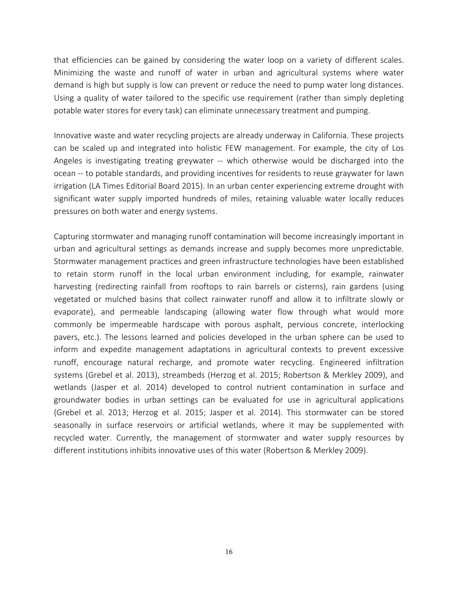that efficiencies can be gained by considering the water loop on a variety of different scales. Minimizing the waste and runoff of water in urban and agricultural systems where water demand is high but supply is low can prevent or reduce the need to pump water long distances. Using a quality of water tailored to the specific use requirement (rather than simply depleting potable water stores for every task) can eliminate unnecessary treatment and pumping.

Innovative waste and water recycling projects are already underway in California. These projects can be scaled up and integrated into holistic FEW management. For example, the city of Los Angeles is investigating treating greywater -- which otherwise would be discharged into the ocean -- to potable standards, and providing incentives for residents to reuse graywater for lawn irrigation (LA Times Editorial Board 2015). In an urban center experiencing extreme drought with significant water supply imported hundreds of miles, retaining valuable water locally reduces pressures on both water and energy systems.

Capturing stormwater and managing runoff contamination will become increasingly important in urban and agricultural settings as demands increase and supply becomes more unpredictable. Stormwater management practices and green infrastructure technologies have been established to retain storm runoff in the local urban environment including, for example, rainwater harvesting (redirecting rainfall from rooftops to rain barrels or cisterns), rain gardens (using vegetated or mulched basins that collect rainwater runoff and allow it to infiltrate slowly or evaporate), and permeable landscaping (allowing water flow through what would more commonly be impermeable hardscape with porous asphalt, pervious concrete, interlocking pavers, etc.). The lessons learned and policies developed in the urban sphere can be used to inform and expedite management adaptations in agricultural contexts to prevent excessive runoff, encourage natural recharge, and promote water recycling. Engineered infiltration systems (Grebel et al. 2013), streambeds (Herzog et al. 2015; Robertson & Merkley 2009), and wetlands (Jasper et al. 2014) developed to control nutrient contamination in surface and groundwater bodies in urban settings can be evaluated for use in agricultural applications (Grebel et al. 2013; Herzog et al. 2015; Jasper et al. 2014). This stormwater can be stored seasonally in surface reservoirs or artificial wetlands, where it may be supplemented with recycled water. Currently, the management of stormwater and water supply resources by different institutions inhibits innovative uses of this water (Robertson & Merkley 2009).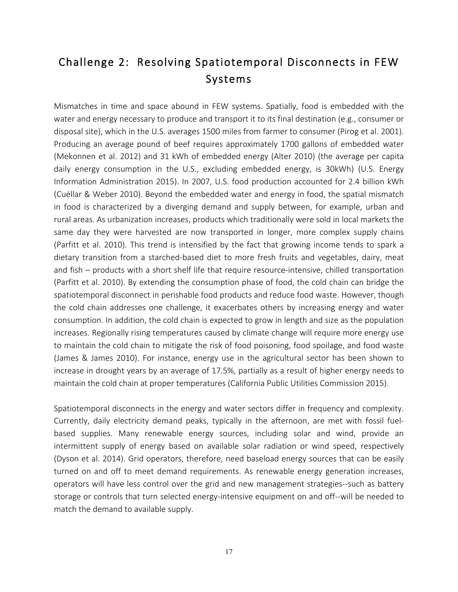# Challenge 2: Resolving Spatiotemporal Disconnects in FEW Systems

Mismatches in time and space abound in FEW systems. Spatially, food is embedded with the water and energy necessary to produce and transport it to its final destination (e.g., consumer or disposal site), which in the U.S. averages 1500 miles from farmer to consumer (Pirog et al. 2001). Producing an average pound of beef requires approximately 1700 gallons of embedded water (Mekonnen et al. 2012) and 31 kWh of embedded energy (Alter 2010) (the average per capita daily energy consumption in the U.S., excluding embedded energy, is 30kWh) (U.S. Energy Information Administration 2015). In 2007, U.S. food production accounted for 2.4 billion kWh (Cuéllar & Weber 2010). Beyond the embedded water and energy in food, the spatial mismatch in food is characterized by a diverging demand and supply between, for example, urban and rural areas. As urbanization increases, products which traditionally were sold in local markets the same day they were harvested are now transported in longer, more complex supply chains (Parfitt et al. 2010). This trend is intensified by the fact that growing income tends to spark a dietary transition from a starched-based diet to more fresh fruits and vegetables, dairy, meat and fish – products with a short shelf life that require resource-intensive, chilled transportation (Parfitt et al. 2010). By extending the consumption phase of food, the cold chain can bridge the spatiotemporal disconnect in perishable food products and reduce food waste. However, though the cold chain addresses one challenge, it exacerbates others by increasing energy and water consumption. In addition, the cold chain is expected to grow in length and size as the population increases. Regionally rising temperatures caused by climate change will require more energy use to maintain the cold chain to mitigate the risk of food poisoning, food spoilage, and food waste (James & James 2010). For instance, energy use in the agricultural sector has been shown to increase in drought years by an average of 17.5%, partially as a result of higher energy needs to maintain the cold chain at proper temperatures (California Public Utilities Commission 2015).

Spatiotemporal disconnects in the energy and water sectors differ in frequency and complexity. Currently, daily electricity demand peaks, typically in the afternoon, are met with fossil fuelbased supplies. Many renewable energy sources, including solar and wind, provide an intermittent supply of energy based on available solar radiation or wind speed, respectively (Dyson et al. 2014). Grid operators, therefore, need baseload energy sources that can be easily turned on and off to meet demand requirements. As renewable energy generation increases, operators will have less control over the grid and new management strategies--such as battery storage or controls that turn selected energy-intensive equipment on and off--will be needed to match the demand to available supply.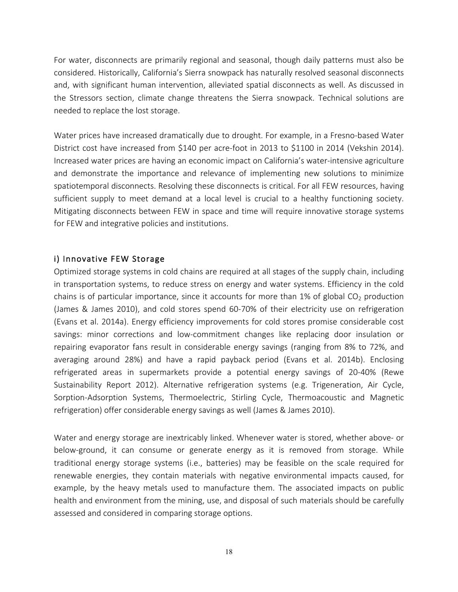For water, disconnects are primarily regional and seasonal, though daily patterns must also be considered. Historically, California's Sierra snowpack has naturally resolved seasonal disconnects and, with significant human intervention, alleviated spatial disconnects as well. As discussed in the Stressors section, climate change threatens the Sierra snowpack. Technical solutions are needed to replace the lost storage.

Water prices have increased dramatically due to drought. For example, in a Fresno-based Water District cost have increased from \$140 per acre-foot in 2013 to \$1100 in 2014 (Vekshin 2014). Increased water prices are having an economic impact on California's water-intensive agriculture and demonstrate the importance and relevance of implementing new solutions to minimize spatiotemporal disconnects. Resolving these disconnects is critical. For all FEW resources, having sufficient supply to meet demand at a local level is crucial to a healthy functioning society. Mitigating disconnects between FEW in space and time will require innovative storage systems for FEW and integrative policies and institutions.

#### i) Innovative FEW Storage

Optimized storage systems in cold chains are required at all stages of the supply chain, including in transportation systems, to reduce stress on energy and water systems. Efficiency in the cold chains is of particular importance, since it accounts for more than 1% of global  $CO<sub>2</sub>$  production (James & James 2010), and cold stores spend 60-70% of their electricity use on refrigeration (Evans et al. 2014a). Energy efficiency improvements for cold stores promise considerable cost savings: minor corrections and low-commitment changes like replacing door insulation or repairing evaporator fans result in considerable energy savings (ranging from 8% to 72%, and averaging around 28%) and have a rapid payback period (Evans et al. 2014b). Enclosing refrigerated areas in supermarkets provide a potential energy savings of 20-40% (Rewe Sustainability Report 2012). Alternative refrigeration systems (e.g. Trigeneration, Air Cycle, Sorption-Adsorption Systems, Thermoelectric, Stirling Cycle, Thermoacoustic and Magnetic refrigeration) offer considerable energy savings as well (James & James 2010).

Water and energy storage are inextricably linked. Whenever water is stored, whether above- or below-ground, it can consume or generate energy as it is removed from storage. While traditional energy storage systems (i.e., batteries) may be feasible on the scale required for renewable energies, they contain materials with negative environmental impacts caused, for example, by the heavy metals used to manufacture them. The associated impacts on public health and environment from the mining, use, and disposal of such materials should be carefully assessed and considered in comparing storage options.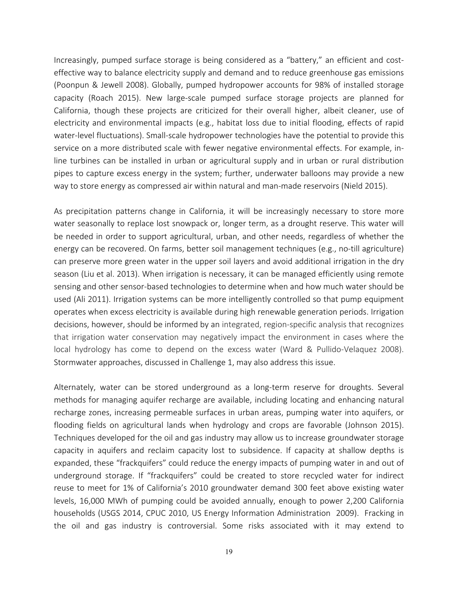Increasingly, pumped surface storage is being considered as a "battery," an efficient and costeffective way to balance electricity supply and demand and to reduce greenhouse gas emissions (Poonpun & Jewell 2008). Globally, pumped hydropower accounts for 98% of installed storage capacity (Roach 2015). New large-scale pumped surface storage projects are planned for California, though these projects are criticized for their overall higher, albeit cleaner, use of electricity and environmental impacts (e.g., habitat loss due to initial flooding, effects of rapid water-level fluctuations). Small-scale hydropower technologies have the potential to provide this service on a more distributed scale with fewer negative environmental effects. For example, inline turbines can be installed in urban or agricultural supply and in urban or rural distribution pipes to capture excess energy in the system; further, underwater balloons may provide a new way to store energy as compressed air within natural and man-made reservoirs (Nield 2015).

As precipitation patterns change in California, it will be increasingly necessary to store more water seasonally to replace lost snowpack or, longer term, as a drought reserve. This water will be needed in order to support agricultural, urban, and other needs, regardless of whether the energy can be recovered. On farms, better soil management techniques (e.g., no-till agriculture) can preserve more green water in the upper soil layers and avoid additional irrigation in the dry season (Liu et al. 2013). When irrigation is necessary, it can be managed efficiently using remote sensing and other sensor-based technologies to determine when and how much water should be used (Ali 2011). Irrigation systems can be more intelligently controlled so that pump equipment operates when excess electricity is available during high renewable generation periods. Irrigation decisions, however, should be informed by an integrated, region-specific analysis that recognizes that irrigation water conservation may negatively impact the environment in cases where the local hydrology has come to depend on the excess water (Ward & Pullido-Velaquez 2008). Stormwater approaches, discussed in Challenge 1, may also address this issue.

Alternately, water can be stored underground as a long-term reserve for droughts. Several methods for managing aquifer recharge are available, including locating and enhancing natural recharge zones, increasing permeable surfaces in urban areas, pumping water into aquifers, or flooding fields on agricultural lands when hydrology and crops are favorable (Johnson 2015). Techniques developed for the oil and gas industry may allow us to increase groundwater storage capacity in aquifers and reclaim capacity lost to subsidence. If capacity at shallow depths is expanded, these "frackquifers" could reduce the energy impacts of pumping water in and out of underground storage. If "frackquifers" could be created to store recycled water for indirect reuse to meet for 1% of California's 2010 groundwater demand 300 feet above existing water levels, 16,000 MWh of pumping could be avoided annually, enough to power 2,200 California households (USGS 2014, CPUC 2010, US Energy Information Administration 2009). Fracking in the oil and gas industry is controversial. Some risks associated with it may extend to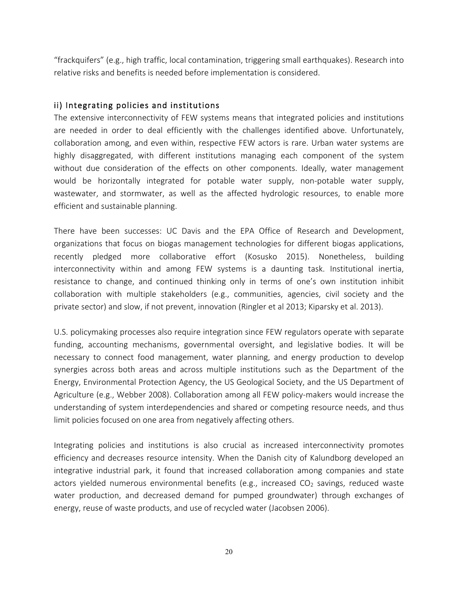"frackquifers" (e.g., high traffic, local contamination, triggering small earthquakes). Research into relative risks and benefits is needed before implementation is considered.

#### ii) Integrating policies and institutions

The extensive interconnectivity of FEW systems means that integrated policies and institutions are needed in order to deal efficiently with the challenges identified above. Unfortunately, collaboration among, and even within, respective FEW actors is rare. Urban water systems are highly disaggregated, with different institutions managing each component of the system without due consideration of the effects on other components. Ideally, water management would be horizontally integrated for potable water supply, non-potable water supply, wastewater, and stormwater, as well as the affected hydrologic resources, to enable more efficient and sustainable planning.

There have been successes: UC Davis and the EPA Office of Research and Development, organizations that focus on biogas management technologies for different biogas applications, recently pledged more collaborative effort (Kosusko 2015). Nonetheless, building interconnectivity within and among FEW systems is a daunting task. Institutional inertia, resistance to change, and continued thinking only in terms of one's own institution inhibit collaboration with multiple stakeholders (e.g., communities, agencies, civil society and the private sector) and slow, if not prevent, innovation (Ringler et al 2013; Kiparsky et al. 2013).

U.S. policymaking processes also require integration since FEW regulators operate with separate funding, accounting mechanisms, governmental oversight, and legislative bodies. It will be necessary to connect food management, water planning, and energy production to develop synergies across both areas and across multiple institutions such as the Department of the Energy, Environmental Protection Agency, the US Geological Society, and the US Department of Agriculture (e.g., Webber 2008). Collaboration among all FEW policy-makers would increase the understanding of system interdependencies and shared or competing resource needs, and thus limit policies focused on one area from negatively affecting others.

Integrating policies and institutions is also crucial as increased interconnectivity promotes efficiency and decreases resource intensity. When the Danish city of Kalundborg developed an integrative industrial park, it found that increased collaboration among companies and state actors yielded numerous environmental benefits (e.g., increased  $CO<sub>2</sub>$  savings, reduced waste water production, and decreased demand for pumped groundwater) through exchanges of energy, reuse of waste products, and use of recycled water (Jacobsen 2006).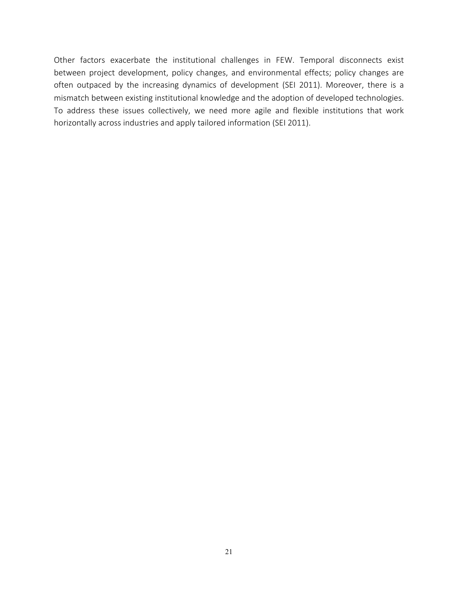Other factors exacerbate the institutional challenges in FEW. Temporal disconnects exist between project development, policy changes, and environmental effects; policy changes are often outpaced by the increasing dynamics of development (SEI 2011). Moreover, there is a mismatch between existing institutional knowledge and the adoption of developed technologies. To address these issues collectively, we need more agile and flexible institutions that work horizontally across industries and apply tailored information (SEI 2011).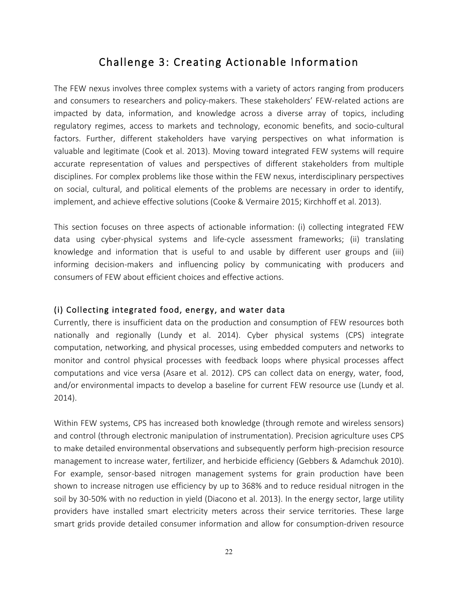# Challenge 3: Creating Actionable Information

The FEW nexus involves three complex systems with a variety of actors ranging from producers and consumers to researchers and policy-makers. These stakeholders' FEW-related actions are impacted by data, information, and knowledge across a diverse array of topics, including regulatory regimes, access to markets and technology, economic benefits, and socio-cultural factors. Further, different stakeholders have varying perspectives on what information is valuable and legitimate (Cook et al. 2013). Moving toward integrated FEW systems will require accurate representation of values and perspectives of different stakeholders from multiple disciplines. For complex problems like those within the FEW nexus, interdisciplinary perspectives on social, cultural, and political elements of the problems are necessary in order to identify, implement, and achieve effective solutions (Cooke & Vermaire 2015; Kirchhoff et al. 2013).

This section focuses on three aspects of actionable information: (i) collecting integrated FEW data using cyber-physical systems and life-cycle assessment frameworks; (ii) translating knowledge and information that is useful to and usable by different user groups and (iii) informing decision-makers and influencing policy by communicating with producers and consumers of FEW about efficient choices and effective actions.

# (i) Collecting integrated food, energy, and water data

Currently, there is insufficient data on the production and consumption of FEW resources both nationally and regionally (Lundy et al. 2014). Cyber physical systems (CPS) integrate computation, networking, and physical processes, using embedded computers and networks to monitor and control physical processes with feedback loops where physical processes affect computations and vice versa (Asare et al. 2012). CPS can collect data on energy, water, food, and/or environmental impacts to develop a baseline for current FEW resource use (Lundy et al. 2014).

Within FEW systems, CPS has increased both knowledge (through remote and wireless sensors) and control (through electronic manipulation of instrumentation). Precision agriculture uses CPS to make detailed environmental observations and subsequently perform high-precision resource management to increase water, fertilizer, and herbicide efficiency (Gebbers & Adamchuk 2010). For example, sensor-based nitrogen management systems for grain production have been shown to increase nitrogen use efficiency by up to 368% and to reduce residual nitrogen in the soil by 30-50% with no reduction in yield (Diacono et al. 2013). In the energy sector, large utility providers have installed smart electricity meters across their service territories. These large smart grids provide detailed consumer information and allow for consumption-driven resource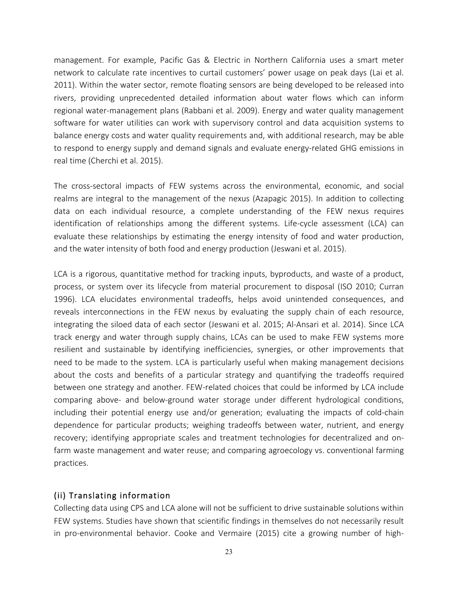management. For example, Pacific Gas & Electric in Northern California uses a smart meter network to calculate rate incentives to curtail customers' power usage on peak days (Lai et al. 2011). Within the water sector, remote floating sensors are being developed to be released into rivers, providing unprecedented detailed information about water flows which can inform regional water-management plans (Rabbani et al. 2009). Energy and water quality management software for water utilities can work with supervisory control and data acquisition systems to balance energy costs and water quality requirements and, with additional research, may be able to respond to energy supply and demand signals and evaluate energy-related GHG emissions in real time (Cherchi et al. 2015).

The cross-sectoral impacts of FEW systems across the environmental, economic, and social realms are integral to the management of the nexus (Azapagic 2015). In addition to collecting data on each individual resource, a complete understanding of the FEW nexus requires identification of relationships among the different systems. Life-cycle assessment (LCA) can evaluate these relationships by estimating the energy intensity of food and water production, and the water intensity of both food and energy production (Jeswani et al. 2015).

LCA is a rigorous, quantitative method for tracking inputs, byproducts, and waste of a product, process, or system over its lifecycle from material procurement to disposal (ISO 2010; Curran 1996). LCA elucidates environmental tradeoffs, helps avoid unintended consequences, and reveals interconnections in the FEW nexus by evaluating the supply chain of each resource, integrating the siloed data of each sector (Jeswani et al. 2015; Al-Ansari et al. 2014). Since LCA track energy and water through supply chains, LCAs can be used to make FEW systems more resilient and sustainable by identifying inefficiencies, synergies, or other improvements that need to be made to the system. LCA is particularly useful when making management decisions about the costs and benefits of a particular strategy and quantifying the tradeoffs required between one strategy and another. FEW-related choices that could be informed by LCA include comparing above- and below-ground water storage under different hydrological conditions, including their potential energy use and/or generation; evaluating the impacts of cold-chain dependence for particular products; weighing tradeoffs between water, nutrient, and energy recovery; identifying appropriate scales and treatment technologies for decentralized and onfarm waste management and water reuse; and comparing agroecology vs. conventional farming practices.

# (ii) Translating information

Collecting data using CPS and LCA alone will not be sufficient to drive sustainable solutions within FEW systems. Studies have shown that scientific findings in themselves do not necessarily result in pro-environmental behavior. Cooke and Vermaire (2015) cite a growing number of high-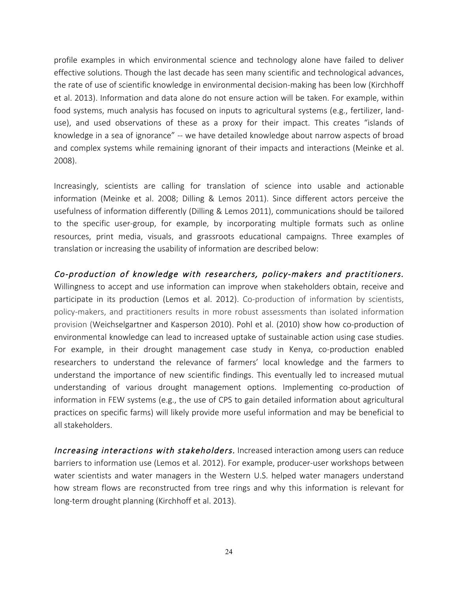profile examples in which environmental science and technology alone have failed to deliver effective solutions. Though the last decade has seen many scientific and technological advances, the rate of use of scientific knowledge in environmental decision-making has been low (Kirchhoff et al. 2013). Information and data alone do not ensure action will be taken. For example, within food systems, much analysis has focused on inputs to agricultural systems (e.g., fertilizer, landuse), and used observations of these as a proxy for their impact. This creates "islands of knowledge in a sea of ignorance" -- we have detailed knowledge about narrow aspects of broad and complex systems while remaining ignorant of their impacts and interactions (Meinke et al. 2008).

Increasingly, scientists are calling for translation of science into usable and actionable information (Meinke et al. 2008; Dilling & Lemos 2011). Since different actors perceive the usefulness of information differently (Dilling & Lemos 2011), communications should be tailored to the specific user-group, for example, by incorporating multiple formats such as online resources, print media, visuals, and grassroots educational campaigns. Three examples of translation or increasing the usability of information are described below:

#### Co-production of knowledge with researchers, policy-makers and practitioners.

Willingness to accept and use information can improve when stakeholders obtain, receive and participate in its production (Lemos et al. 2012). Co-production of information by scientists, policy-makers, and practitioners results in more robust assessments than isolated information provision (Weichselgartner and Kasperson 2010). Pohl et al. (2010) show how co-production of environmental knowledge can lead to increased uptake of sustainable action using case studies. For example, in their drought management case study in Kenya, co-production enabled researchers to understand the relevance of farmers' local knowledge and the farmers to understand the importance of new scientific findings. This eventually led to increased mutual understanding of various drought management options. Implementing co-production of information in FEW systems (e.g., the use of CPS to gain detailed information about agricultural practices on specific farms) will likely provide more useful information and may be beneficial to all stakeholders.

Increasing interactions with stakeholders. Increased interaction among users can reduce barriers to information use (Lemos et al. 2012). For example, producer-user workshops between water scientists and water managers in the Western U.S. helped water managers understand how stream flows are reconstructed from tree rings and why this information is relevant for long-term drought planning (Kirchhoff et al. 2013).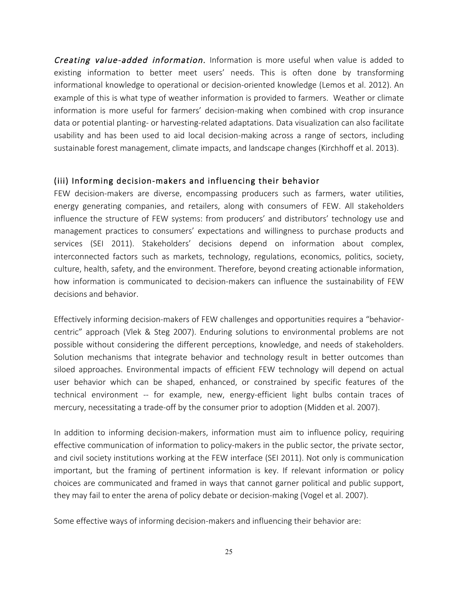Creating value-added information. Information is more useful when value is added to existing information to better meet users' needs. This is often done by transforming informational knowledge to operational or decision-oriented knowledge (Lemos et al. 2012). An example of this is what type of weather information is provided to farmers. Weather or climate information is more useful for farmers' decision-making when combined with crop insurance data or potential planting- or harvesting-related adaptations. Data visualization can also facilitate usability and has been used to aid local decision-making across a range of sectors, including sustainable forest management, climate impacts, and landscape changes (Kirchhoff et al. 2013).

# (iii) Informing decision-makers and influencing their behavior

FEW decision-makers are diverse, encompassing producers such as farmers, water utilities, energy generating companies, and retailers, along with consumers of FEW. All stakeholders influence the structure of FEW systems: from producers' and distributors' technology use and management practices to consumers' expectations and willingness to purchase products and services (SEI 2011). Stakeholders' decisions depend on information about complex, interconnected factors such as markets, technology, regulations, economics, politics, society, culture, health, safety, and the environment. Therefore, beyond creating actionable information, how information is communicated to decision-makers can influence the sustainability of FEW decisions and behavior.

Effectively informing decision-makers of FEW challenges and opportunities requires a "behaviorcentric" approach (Vlek & Steg 2007). Enduring solutions to environmental problems are not possible without considering the different perceptions, knowledge, and needs of stakeholders. Solution mechanisms that integrate behavior and technology result in better outcomes than siloed approaches. Environmental impacts of efficient FEW technology will depend on actual user behavior which can be shaped, enhanced, or constrained by specific features of the technical environment -- for example, new, energy-efficient light bulbs contain traces of mercury, necessitating a trade-off by the consumer prior to adoption (Midden et al. 2007).

In addition to informing decision-makers, information must aim to influence policy, requiring effective communication of information to policy-makers in the public sector, the private sector, and civil society institutions working at the FEW interface (SEI 2011). Not only is communication important, but the framing of pertinent information is key. If relevant information or policy choices are communicated and framed in ways that cannot garner political and public support, they may fail to enter the arena of policy debate or decision-making (Vogel et al. 2007).

Some effective ways of informing decision-makers and influencing their behavior are: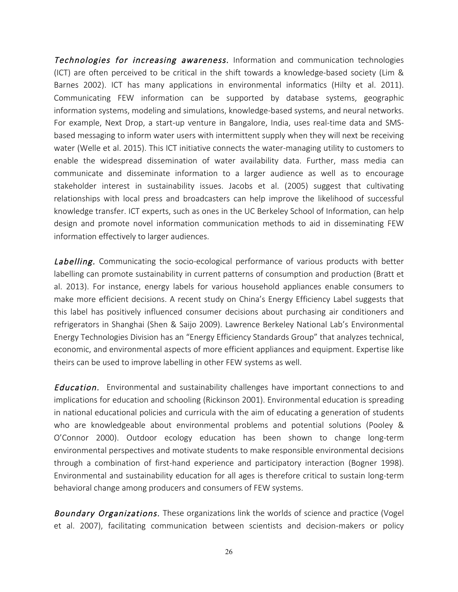**Technologies for increasing awareness.** Information and communication technologies (ICT) are often perceived to be critical in the shift towards a knowledge-based society (Lim & Barnes 2002). ICT has many applications in environmental informatics (Hilty et al. 2011). Communicating FEW information can be supported by database systems, geographic information systems, modeling and simulations, knowledge-based systems, and neural networks. For example, Next Drop, a start-up venture in Bangalore, India, uses real-time data and SMSbased messaging to inform water users with intermittent supply when they will next be receiving water (Welle et al. 2015). This ICT initiative connects the water-managing utility to customers to enable the widespread dissemination of water availability data. Further, mass media can communicate and disseminate information to a larger audience as well as to encourage stakeholder interest in sustainability issues. Jacobs et al. (2005) suggest that cultivating relationships with local press and broadcasters can help improve the likelihood of successful knowledge transfer. ICT experts, such as ones in the UC Berkeley School of Information, can help design and promote novel information communication methods to aid in disseminating FEW information effectively to larger audiences.

**Labelling.** Communicating the socio-ecological performance of various products with better labelling can promote sustainability in current patterns of consumption and production (Bratt et al. 2013). For instance, energy labels for various household appliances enable consumers to make more efficient decisions. A recent study on China's Energy Efficiency Label suggests that this label has positively influenced consumer decisions about purchasing air conditioners and refrigerators in Shanghai (Shen & Saijo 2009). Lawrence Berkeley National Lab's Environmental Energy Technologies Division has an "Energy Efficiency Standards Group" that analyzes technical, economic, and environmental aspects of more efficient appliances and equipment. Expertise like theirs can be used to improve labelling in other FEW systems as well.

**Education.** Environmental and sustainability challenges have important connections to and implications for education and schooling (Rickinson 2001). Environmental education is spreading in national educational policies and curricula with the aim of educating a generation of students who are knowledgeable about environmental problems and potential solutions (Pooley & O'Connor 2000). Outdoor ecology education has been shown to change long-term environmental perspectives and motivate students to make responsible environmental decisions through a combination of first-hand experience and participatory interaction (Bogner 1998). Environmental and sustainability education for all ages is therefore critical to sustain long-term behavioral change among producers and consumers of FEW systems.

Boundary Organizations. These organizations link the worlds of science and practice (Vogel et al. 2007), facilitating communication between scientists and decision-makers or policy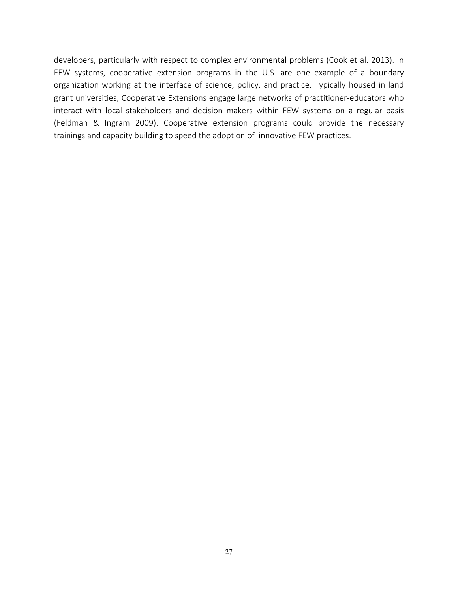developers, particularly with respect to complex environmental problems (Cook et al. 2013). In FEW systems, cooperative extension programs in the U.S. are one example of a boundary organization working at the interface of science, policy, and practice. Typically housed in land grant universities, Cooperative Extensions engage large networks of practitioner-educators who interact with local stakeholders and decision makers within FEW systems on a regular basis (Feldman & Ingram 2009). Cooperative extension programs could provide the necessary trainings and capacity building to speed the adoption of innovative FEW practices.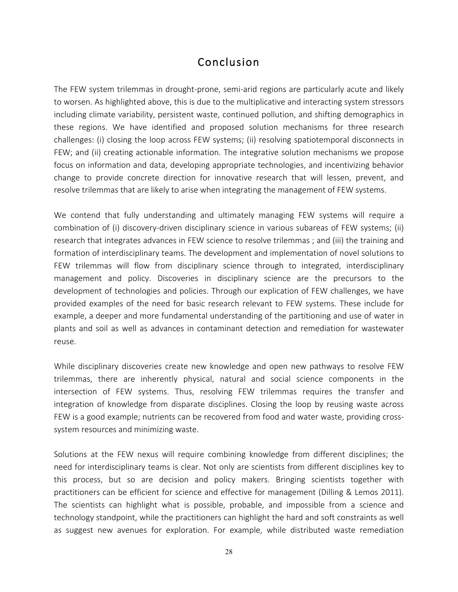# Conclusion

The FEW system trilemmas in drought-prone, semi-arid regions are particularly acute and likely to worsen. As highlighted above, this is due to the multiplicative and interacting system stressors including climate variability, persistent waste, continued pollution, and shifting demographics in these regions. We have identified and proposed solution mechanisms for three research challenges: (i) closing the loop across FEW systems; (ii) resolving spatiotemporal disconnects in FEW; and (ii) creating actionable information. The integrative solution mechanisms we propose focus on information and data, developing appropriate technologies, and incentivizing behavior change to provide concrete direction for innovative research that will lessen, prevent, and resolve trilemmas that are likely to arise when integrating the management of FEW systems.

We contend that fully understanding and ultimately managing FEW systems will require a combination of (i) discovery-driven disciplinary science in various subareas of FEW systems; (ii) research that integrates advances in FEW science to resolve trilemmas ; and (iii) the training and formation of interdisciplinary teams. The development and implementation of novel solutions to FEW trilemmas will flow from disciplinary science through to integrated, interdisciplinary management and policy. Discoveries in disciplinary science are the precursors to the development of technologies and policies. Through our explication of FEW challenges, we have provided examples of the need for basic research relevant to FEW systems. These include for example, a deeper and more fundamental understanding of the partitioning and use of water in plants and soil as well as advances in contaminant detection and remediation for wastewater reuse.

While disciplinary discoveries create new knowledge and open new pathways to resolve FEW trilemmas, there are inherently physical, natural and social science components in the intersection of FEW systems. Thus, resolving FEW trilemmas requires the transfer and integration of knowledge from disparate disciplines. Closing the loop by reusing waste across FEW is a good example; nutrients can be recovered from food and water waste, providing crosssystem resources and minimizing waste.

Solutions at the FEW nexus will require combining knowledge from different disciplines; the need for interdisciplinary teams is clear. Not only are scientists from different disciplines key to this process, but so are decision and policy makers. Bringing scientists together with practitioners can be efficient for science and effective for management (Dilling & Lemos 2011). The scientists can highlight what is possible, probable, and impossible from a science and technology standpoint, while the practitioners can highlight the hard and soft constraints as well as suggest new avenues for exploration. For example, while distributed waste remediation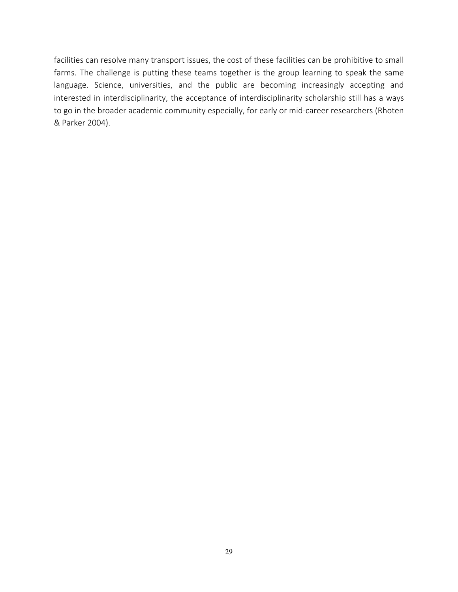facilities can resolve many transport issues, the cost of these facilities can be prohibitive to small farms. The challenge is putting these teams together is the group learning to speak the same language. Science, universities, and the public are becoming increasingly accepting and interested in interdisciplinarity, the acceptance of interdisciplinarity scholarship still has a ways to go in the broader academic community especially, for early or mid-career researchers (Rhoten & Parker 2004).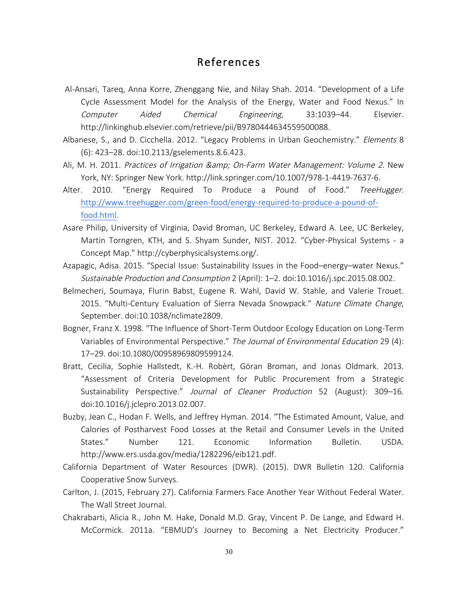# References

- Al-Ansari, Tareq, Anna Korre, Zhenggang Nie, and Nilay Shah. 2014. "Development of a Life Cycle Assessment Model for the Analysis of the Energy, Water and Food Nexus." In Computer Aided Chemical Engineering, 33:1039–44. Elsevier. http://linkinghub.elsevier.com/retrieve/pii/B9780444634559500088.
- Albanese, S., and D. Cicchella. 2012. "Legacy Problems in Urban Geochemistry." Elements 8 (6): 423–28. doi:10.2113/gselements.8.6.423.
- Ali, M. H. 2011. Practices of Irrigation & amp; On-Farm Water Management: Volume 2. New York, NY: Springer New York. http://link.springer.com/10.1007/978-1-4419-7637-6.
- Alter. 2010. "Energy Required To Produce a Pound of Food." TreeHugger. http://www.treehugger.com/green-food/energy-required-to-produce-a-pound-offood.html.
- Asare Philip, University of Virginia, David Broman, UC Berkeley, Edward A. Lee, UC Berkeley, Martin Torngren, KTH, and S. Shyam Sunder, NIST. 2012. "Cyber-Physical Systems - a Concept Map." http://cyberphysicalsystems.org/.
- Azapagic, Adisa. 2015. "Special Issue: Sustainability Issues in the Food–energy–water Nexus." Sustainable Production and Consumption 2 (April): 1–2. doi:10.1016/j.spc.2015.08.002.
- Belmecheri, Soumaya, Flurin Babst, Eugene R. Wahl, David W. Stahle, and Valerie Trouet. 2015. "Multi-Century Evaluation of Sierra Nevada Snowpack." Nature Climate Change, September. doi:10.1038/nclimate2809.
- Bogner, Franz X. 1998. "The Influence of Short-Term Outdoor Ecology Education on Long-Term Variables of Environmental Perspective." The Journal of Environmental Education 29 (4): 17–29. doi:10.1080/00958969809599124.
- Bratt, Cecilia, Sophie Hallstedt, K.-H. Robèrt, Göran Broman, and Jonas Oldmark. 2013. "Assessment of Criteria Development for Public Procurement from a Strategic Sustainability Perspective." Journal of Cleaner Production 52 (August): 309-16. doi:10.1016/j.jclepro.2013.02.007.
- Buzby, Jean C., Hodan F. Wells, and Jeffrey Hyman. 2014. "The Estimated Amount, Value, and Calories of Postharvest Food Losses at the Retail and Consumer Levels in the United States." Number 121. Economic Information Bulletin. USDA. http://www.ers.usda.gov/media/1282296/eib121.pdf.
- California Department of Water Resources (DWR). (2015). DWR Bulletin 120. California Cooperative Snow Surveys.
- Carlton, J. (2015, February 27). California Farmers Face Another Year Without Federal Water. The Wall Street Journal.
- Chakrabarti, Alicia R., John M. Hake, Donald M.D. Gray, Vincent P. De Lange, and Edward H. McCormick. 2011a. "EBMUD's Journey to Becoming a Net Electricity Producer."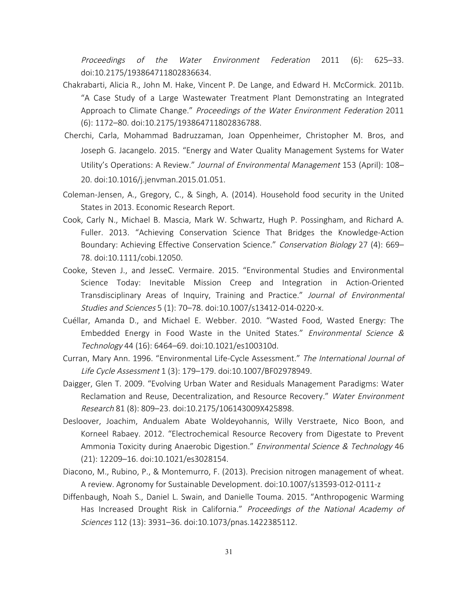Proceedings of the Water Environment Federation 2011 (6): 625–33. doi:10.2175/193864711802836634.

- Chakrabarti, Alicia R., John M. Hake, Vincent P. De Lange, and Edward H. McCormick. 2011b. "A Case Study of a Large Wastewater Treatment Plant Demonstrating an Integrated Approach to Climate Change." Proceedings of the Water Environment Federation 2011 (6): 1172–80. doi:10.2175/193864711802836788.
- Cherchi, Carla, Mohammad Badruzzaman, Joan Oppenheimer, Christopher M. Bros, and Joseph G. Jacangelo. 2015. "Energy and Water Quality Management Systems for Water Utility's Operations: A Review." Journal of Environmental Management 153 (April): 108– 20. doi:10.1016/j.jenvman.2015.01.051.
- Coleman-Jensen, A., Gregory, C., & Singh, A. (2014). Household food security in the United States in 2013. Economic Research Report.
- Cook, Carly N., Michael B. Mascia, Mark W. Schwartz, Hugh P. Possingham, and Richard A. Fuller. 2013. "Achieving Conservation Science That Bridges the Knowledge-Action Boundary: Achieving Effective Conservation Science." Conservation Biology 27 (4): 669-78. doi:10.1111/cobi.12050.
- Cooke, Steven J., and JesseC. Vermaire. 2015. "Environmental Studies and Environmental Science Today: Inevitable Mission Creep and Integration in Action-Oriented Transdisciplinary Areas of Inquiry, Training and Practice." Journal of Environmental Studies and Sciences 5 (1): 70–78. doi:10.1007/s13412-014-0220-x.
- Cuéllar, Amanda D., and Michael E. Webber. 2010. "Wasted Food, Wasted Energy: The Embedded Energy in Food Waste in the United States." Environmental Science & Technology 44 (16): 6464–69. doi:10.1021/es100310d.
- Curran, Mary Ann. 1996. "Environmental Life-Cycle Assessment." The International Journal of Life Cycle Assessment 1 (3): 179–179. doi:10.1007/BF02978949.
- Daigger, Glen T. 2009. "Evolving Urban Water and Residuals Management Paradigms: Water Reclamation and Reuse, Decentralization, and Resource Recovery." Water Environment Research 81 (8): 809–23. doi:10.2175/106143009X425898.
- Desloover, Joachim, Andualem Abate Woldeyohannis, Willy Verstraete, Nico Boon, and Korneel Rabaey. 2012. "Electrochemical Resource Recovery from Digestate to Prevent Ammonia Toxicity during Anaerobic Digestion." Environmental Science & Technology 46 (21): 12209–16. doi:10.1021/es3028154.
- Diacono, M., Rubino, P., & Montemurro, F. (2013). Precision nitrogen management of wheat. A review. Agronomy for Sustainable Development. doi:10.1007/s13593-012-0111-z
- Diffenbaugh, Noah S., Daniel L. Swain, and Danielle Touma. 2015. "Anthropogenic Warming Has Increased Drought Risk in California." Proceedings of the National Academy of Sciences 112 (13): 3931–36. doi:10.1073/pnas.1422385112.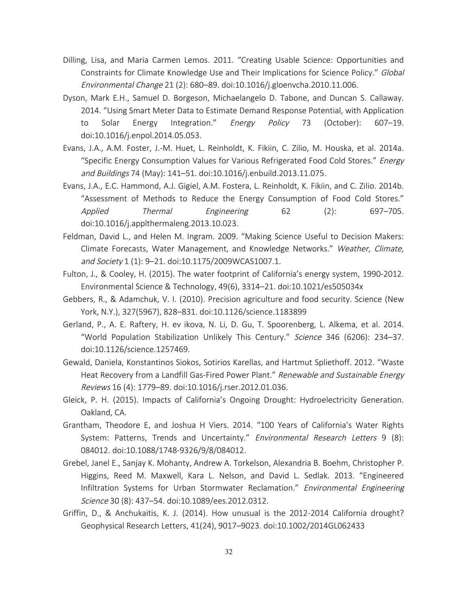- Dilling, Lisa, and Maria Carmen Lemos. 2011. "Creating Usable Science: Opportunities and Constraints for Climate Knowledge Use and Their Implications for Science Policy." Global Environmental Change 21 (2): 680–89. doi:10.1016/j.gloenvcha.2010.11.006.
- Dyson, Mark E.H., Samuel D. Borgeson, Michaelangelo D. Tabone, and Duncan S. Callaway. 2014. "Using Smart Meter Data to Estimate Demand Response Potential, with Application to Solar Energy Integration." *Energy Policy* 73 (October): 607-19. doi:10.1016/j.enpol.2014.05.053.
- Evans, J.A., A.M. Foster, J.-M. Huet, L. Reinholdt, K. Fikiin, C. Zilio, M. Houska, et al. 2014a. "Specific Energy Consumption Values for Various Refrigerated Food Cold Stores." Energy and Buildings 74 (May): 141–51. doi:10.1016/j.enbuild.2013.11.075.
- Evans, J.A., E.C. Hammond, A.J. Gigiel, A.M. Fostera, L. Reinholdt, K. Fikiin, and C. Zilio. 2014b. "Assessment of Methods to Reduce the Energy Consumption of Food Cold Stores." Applied Thermal Engineering 62 (2): 697–705. doi:10.1016/j.applthermaleng.2013.10.023.
- Feldman, David L., and Helen M. Ingram. 2009. "Making Science Useful to Decision Makers: Climate Forecasts, Water Management, and Knowledge Networks." Weather, Climate, and Society 1 (1): 9–21. doi:10.1175/2009WCAS1007.1.
- Fulton, J., & Cooley, H. (2015). The water footprint of California's energy system, 1990-2012. Environmental Science & Technology, 49(6), 3314–21. doi:10.1021/es505034x
- Gebbers, R., & Adamchuk, V. I. (2010). Precision agriculture and food security. Science (New York, N.Y.), 327(5967), 828–831. doi:10.1126/science.1183899
- Gerland, P., A. E. Raftery, H. ev ikova, N. Li, D. Gu, T. Spoorenberg, L. Alkema, et al. 2014. "World Population Stabilization Unlikely This Century." Science 346 (6206): 234-37. doi:10.1126/science.1257469.
- Gewald, Daniela, Konstantinos Siokos, Sotirios Karellas, and Hartmut Spliethoff. 2012. "Waste Heat Recovery from a Landfill Gas-Fired Power Plant." Renewable and Sustainable Energy Reviews 16 (4): 1779–89. doi:10.1016/j.rser.2012.01.036.
- Gleick, P. H. (2015). Impacts of California's Ongoing Drought: Hydroelectricity Generation. Oakland, CA.
- Grantham, Theodore E, and Joshua H Viers. 2014. "100 Years of California's Water Rights System: Patterns, Trends and Uncertainty." Environmental Research Letters 9 (8): 084012. doi:10.1088/1748-9326/9/8/084012.
- Grebel, Janel E., Sanjay K. Mohanty, Andrew A. Torkelson, Alexandria B. Boehm, Christopher P. Higgins, Reed M. Maxwell, Kara L. Nelson, and David L. Sedlak. 2013. "Engineered Infiltration Systems for Urban Stormwater Reclamation." Environmental Engineering Science 30 (8): 437–54. doi:10.1089/ees.2012.0312.
- Griffin, D., & Anchukaitis, K. J. (2014). How unusual is the 2012-2014 California drought? Geophysical Research Letters, 41(24), 9017–9023. doi:10.1002/2014GL062433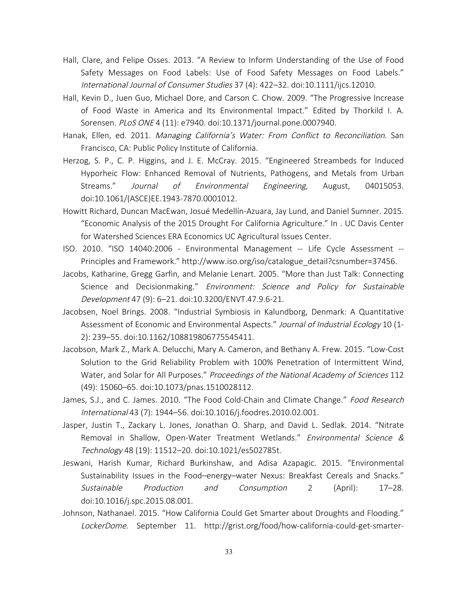- Hall, Clare, and Felipe Osses. 2013. "A Review to Inform Understanding of the Use of Food Safety Messages on Food Labels: Use of Food Safety Messages on Food Labels." International Journal of Consumer Studies 37 (4): 422–32. doi:10.1111/ijcs.12010.
- Hall, Kevin D., Juen Guo, Michael Dore, and Carson C. Chow. 2009. "The Progressive Increase of Food Waste in America and Its Environmental Impact." Edited by Thorkild I. A. Sorensen. PLoS ONE 4 (11): e7940. doi:10.1371/journal.pone.0007940.
- Hanak, Ellen, ed. 2011. Managing California's Water: From Conflict to Reconciliation. San Francisco, CA: Public Policy Institute of California.
- Herzog, S. P., C. P. Higgins, and J. E. McCray. 2015. "Engineered Streambeds for Induced Hyporheic Flow: Enhanced Removal of Nutrients, Pathogens, and Metals from Urban Streams." Journal of Environmental Engineering, August, 04015053. doi:10.1061/(ASCE)EE.1943-7870.0001012.
- Howitt Richard, Duncan MacEwan, Josué Medellín-Azuara, Jay Lund, and Daniel Sumner. 2015. "Economic Analysis of the 2015 Drought For California Agriculture." In . UC Davis Center for Watershed Sciences ERA Economics UC Agricultural Issues Center.
- ISO. 2010. "ISO 14040:2006 Environmental Management -- Life Cycle Assessment -- Principles and Framework." http://www.iso.org/iso/catalogue\_detail?csnumber=37456.
- Jacobs, Katharine, Gregg Garfin, and Melanie Lenart. 2005. "More than Just Talk: Connecting Science and Decisionmaking." Environment: Science and Policy for Sustainable Development 47 (9): 6–21. doi:10.3200/ENVT.47.9.6-21.
- Jacobsen, Noel Brings. 2008. "Industrial Symbiosis in Kalundborg, Denmark: A Quantitative Assessment of Economic and Environmental Aspects." Journal of Industrial Ecology 10 (1-2): 239–55. doi:10.1162/108819806775545411.
- Jacobson, Mark Z., Mark A. Delucchi, Mary A. Cameron, and Bethany A. Frew. 2015. "Low-Cost Solution to the Grid Reliability Problem with 100% Penetration of Intermittent Wind, Water, and Solar for All Purposes." Proceedings of the National Academy of Sciences 112 (49): 15060–65. doi:10.1073/pnas.1510028112.
- James, S.J., and C. James. 2010. "The Food Cold-Chain and Climate Change." Food Research International 43 (7): 1944–56. doi:10.1016/j.foodres.2010.02.001.
- Jasper, Justin T., Zackary L. Jones, Jonathan O. Sharp, and David L. Sedlak. 2014. "Nitrate Removal in Shallow, Open-Water Treatment Wetlands." Environmental Science & Technology 48 (19): 11512–20. doi:10.1021/es502785t.
- Jeswani, Harish Kumar, Richard Burkinshaw, and Adisa Azapagic. 2015. "Environmental Sustainability Issues in the Food–energy–water Nexus: Breakfast Cereals and Snacks." Sustainable Production and Consumption 2 (April): 17–28. doi:10.1016/j.spc.2015.08.001.
- Johnson, Nathanael. 2015. "How California Could Get Smarter about Droughts and Flooding." LockerDome. September 11. http://grist.org/food/how-california-could-get-smarter-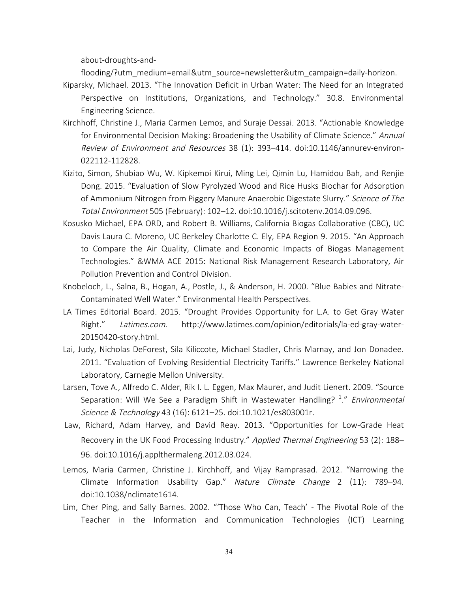about-droughts-and-

flooding/?utm\_medium=email&utm\_source=newsletter&utm\_campaign=daily-horizon.

- Kiparsky, Michael. 2013. "The Innovation Deficit in Urban Water: The Need for an Integrated Perspective on Institutions, Organizations, and Technology." 30.8. Environmental Engineering Science.
- Kirchhoff, Christine J., Maria Carmen Lemos, and Suraje Dessai. 2013. "Actionable Knowledge for Environmental Decision Making: Broadening the Usability of Climate Science." Annual Review of Environment and Resources 38 (1): 393–414. doi:10.1146/annurev-environ-022112-112828.
- Kizito, Simon, Shubiao Wu, W. Kipkemoi Kirui, Ming Lei, Qimin Lu, Hamidou Bah, and Renjie Dong. 2015. "Evaluation of Slow Pyrolyzed Wood and Rice Husks Biochar for Adsorption of Ammonium Nitrogen from Piggery Manure Anaerobic Digestate Slurry." Science of The Total Environment 505 (February): 102–12. doi:10.1016/j.scitotenv.2014.09.096.
- Kosusko Michael, EPA ORD, and Robert B. Williams, California Biogas Collaborative (CBC), UC Davis Laura C. Moreno, UC Berkeley Charlotte C. Ely, EPA Region 9. 2015. "An Approach to Compare the Air Quality, Climate and Economic Impacts of Biogas Management Technologies." &WMA ACE 2015: National Risk Management Research Laboratory, Air Pollution Prevention and Control Division.
- Knobeloch, L., Salna, B., Hogan, A., Postle, J., & Anderson, H. 2000. "Blue Babies and Nitrate-Contaminated Well Water." Environmental Health Perspectives.
- LA Times Editorial Board. 2015. "Drought Provides Opportunity for L.A. to Get Gray Water Right." Latimes.com. http://www.latimes.com/opinion/editorials/la-ed-gray-water-20150420-story.html.
- Lai, Judy, Nicholas DeForest, Sila Kiliccote, Michael Stadler, Chris Marnay, and Jon Donadee. 2011. "Evaluation of Evolving Residential Electricity Tariffs." Lawrence Berkeley National Laboratory, Carnegie Mellon University.
- Larsen, Tove A., Alfredo C. Alder, Rik I. L. Eggen, Max Maurer, and Judit Lienert. 2009. "Source Separation: Will We See a Paradigm Shift in Wastewater Handling? <sup>1</sup>." Environmental Science & Technology 43 (16): 6121–25. doi:10.1021/es803001r.
- Law, Richard, Adam Harvey, and David Reay. 2013. "Opportunities for Low-Grade Heat Recovery in the UK Food Processing Industry." Applied Thermal Engineering 53 (2): 188-96. doi:10.1016/j.applthermaleng.2012.03.024.
- Lemos, Maria Carmen, Christine J. Kirchhoff, and Vijay Ramprasad. 2012. "Narrowing the Climate Information Usability Gap." Nature Climate Change 2 (11): 789-94. doi:10.1038/nclimate1614.
- Lim, Cher Ping, and Sally Barnes. 2002. "'Those Who Can, Teach' The Pivotal Role of the Teacher in the Information and Communication Technologies (ICT) Learning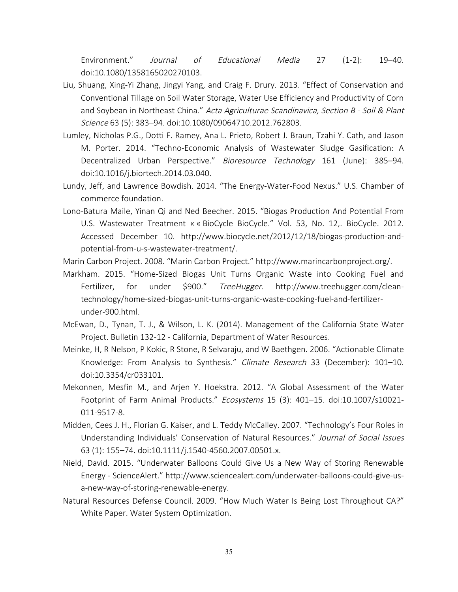Environment." Journal of Educational Media 27 (1-2): 19–40. doi:10.1080/1358165020270103.

- Liu, Shuang, Xing-Yi Zhang, Jingyi Yang, and Craig F. Drury. 2013. "Effect of Conservation and Conventional Tillage on Soil Water Storage, Water Use Efficiency and Productivity of Corn and Soybean in Northeast China." Acta Agriculturae Scandinavica, Section B - Soil & Plant Science 63 (5): 383–94. doi:10.1080/09064710.2012.762803.
- Lumley, Nicholas P.G., Dotti F. Ramey, Ana L. Prieto, Robert J. Braun, Tzahi Y. Cath, and Jason M. Porter. 2014. "Techno-Economic Analysis of Wastewater Sludge Gasification: A Decentralized Urban Perspective." Bioresource Technology 161 (June): 385-94. doi:10.1016/j.biortech.2014.03.040.
- Lundy, Jeff, and Lawrence Bowdish. 2014. "The Energy-Water-Food Nexus." U.S. Chamber of commerce foundation.
- Lono-Batura Maile, Yinan Qi and Ned Beecher. 2015. "Biogas Production And Potential From U.S. Wastewater Treatment « « BioCycle BioCycle." Vol. 53, No. 12,. BioCycle. 2012. Accessed December 10. http://www.biocycle.net/2012/12/18/biogas-production-andpotential-from-u-s-wastewater-treatment/.
- Marin Carbon Project. 2008. "Marin Carbon Project." http://www.marincarbonproject.org/.
- Markham. 2015. "Home-Sized Biogas Unit Turns Organic Waste into Cooking Fuel and Fertilizer, for under \$900." TreeHugger. http://www.treehugger.com/cleantechnology/home-sized-biogas-unit-turns-organic-waste-cooking-fuel-and-fertilizerunder-900.html.
- McEwan, D., Tynan, T. J., & Wilson, L. K. (2014). Management of the California State Water Project. Bulletin 132-12 - California, Department of Water Resources.
- Meinke, H, R Nelson, P Kokic, R Stone, R Selvaraju, and W Baethgen. 2006. "Actionable Climate Knowledge: From Analysis to Synthesis." Climate Research 33 (December): 101-10. doi:10.3354/cr033101.
- Mekonnen, Mesfin M., and Arjen Y. Hoekstra. 2012. "A Global Assessment of the Water Footprint of Farm Animal Products." Ecosystems 15 (3): 401–15. doi:10.1007/s10021- 011-9517-8.
- Midden, Cees J. H., Florian G. Kaiser, and L. Teddy McCalley. 2007. "Technology's Four Roles in Understanding Individuals' Conservation of Natural Resources." Journal of Social Issues 63 (1): 155–74. doi:10.1111/j.1540-4560.2007.00501.x.
- Nield, David. 2015. "Underwater Balloons Could Give Us a New Way of Storing Renewable Energy - ScienceAlert." http://www.sciencealert.com/underwater-balloons-could-give-usa-new-way-of-storing-renewable-energy.
- Natural Resources Defense Council. 2009. "How Much Water Is Being Lost Throughout CA?" White Paper. Water System Optimization.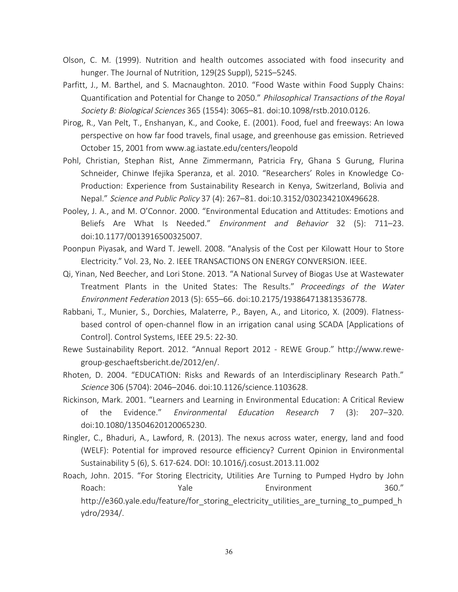- Olson, C. M. (1999). Nutrition and health outcomes associated with food insecurity and hunger. The Journal of Nutrition, 129(2S Suppl), 521S–524S.
- Parfitt, J., M. Barthel, and S. Macnaughton. 2010. "Food Waste within Food Supply Chains: Quantification and Potential for Change to 2050." Philosophical Transactions of the Royal Society B: Biological Sciences 365 (1554): 3065–81. doi:10.1098/rstb.2010.0126.
- Pirog, R., Van Pelt, T., Enshanyan, K., and Cooke, E. (2001). Food, fuel and freeways: An Iowa perspective on how far food travels, final usage, and greenhouse gas emission. Retrieved October 15, 2001 from www.ag.iastate.edu/centers/leopold
- Pohl, Christian, Stephan Rist, Anne Zimmermann, Patricia Fry, Ghana S Gurung, Flurina Schneider, Chinwe Ifejika Speranza, et al. 2010. "Researchers' Roles in Knowledge Co-Production: Experience from Sustainability Research in Kenya, Switzerland, Bolivia and Nepal." Science and Public Policy 37 (4): 267–81. doi:10.3152/030234210X496628.
- Pooley, J. A., and M. O'Connor. 2000. "Environmental Education and Attitudes: Emotions and Beliefs Are What Is Needed." Environment and Behavior 32 (5): 711-23. doi:10.1177/0013916500325007.
- Poonpun Piyasak, and Ward T. Jewell. 2008. "Analysis of the Cost per Kilowatt Hour to Store Electricity." Vol. 23, No. 2. IEEE TRANSACTIONS ON ENERGY CONVERSION. IEEE.
- Qi, Yinan, Ned Beecher, and Lori Stone. 2013. "A National Survey of Biogas Use at Wastewater Treatment Plants in the United States: The Results." Proceedings of the Water Environment Federation 2013 (5): 655–66. doi:10.2175/193864713813536778.
- Rabbani, T., Munier, S., Dorchies, Malaterre, P., Bayen, A., and Litorico, X. (2009). Flatnessbased control of open-channel flow in an irrigation canal using SCADA [Applications of Control]. Control Systems, IEEE 29.5: 22-30.
- Rewe Sustainability Report. 2012. "Annual Report 2012 REWE Group." http://www.rewegroup-geschaeftsbericht.de/2012/en/.
- Rhoten, D. 2004. "EDUCATION: Risks and Rewards of an Interdisciplinary Research Path." Science 306 (5704): 2046–2046. doi:10.1126/science.1103628.
- Rickinson, Mark. 2001. "Learners and Learning in Environmental Education: A Critical Review of the Evidence." Environmental Education Research 7 (3): 207–320. doi:10.1080/13504620120065230.
- Ringler, C., Bhaduri, A., Lawford, R. (2013). The nexus across water, energy, land and food (WELF): Potential for improved resource efficiency? Current Opinion in Environmental Sustainability 5 (6), S. 617-624. DOI: 10.1016/j.cosust.2013.11.002
- Roach, John. 2015. "For Storing Electricity, Utilities Are Turning to Pumped Hydro by John Roach: The Yale Environment 360." http://e360.yale.edu/feature/for storing electricity utilities are turning to pumped h ydro/2934/.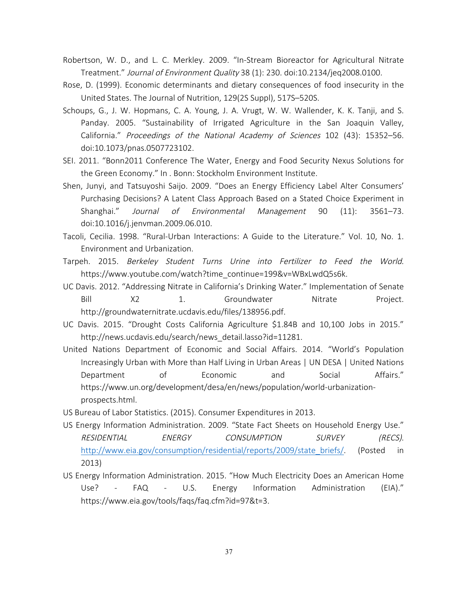- Robertson, W. D., and L. C. Merkley. 2009. "In-Stream Bioreactor for Agricultural Nitrate Treatment." Journal of Environment Quality 38 (1): 230. doi:10.2134/jeq2008.0100.
- Rose, D. (1999). Economic determinants and dietary consequences of food insecurity in the United States. The Journal of Nutrition, 129(2S Suppl), 517S–520S.
- Schoups, G., J. W. Hopmans, C. A. Young, J. A. Vrugt, W. W. Wallender, K. K. Tanji, and S. Panday. 2005. "Sustainability of Irrigated Agriculture in the San Joaquin Valley, California." Proceedings of the National Academy of Sciences 102 (43): 15352–56. doi:10.1073/pnas.0507723102.
- SEI. 2011. "Bonn2011 Conference The Water, Energy and Food Security Nexus Solutions for the Green Economy." In . Bonn: Stockholm Environment Institute.
- Shen, Junyi, and Tatsuyoshi Saijo. 2009. "Does an Energy Efficiency Label Alter Consumers' Purchasing Decisions? A Latent Class Approach Based on a Stated Choice Experiment in Shanghai." Journal of Environmental Management 90 (11): 3561–73. doi:10.1016/j.jenvman.2009.06.010.
- Tacoli, Cecilia. 1998. "Rural-Urban Interactions: A Guide to the Literature." Vol. 10, No. 1. Environment and Urbanization.
- Tarpeh. 2015. Berkeley Student Turns Urine into Fertilizer to Feed the World. https://www.youtube.com/watch?time\_continue=199&v=WBxLwdQ5s6k.
- UC Davis. 2012. "Addressing Nitrate in California's Drinking Water." Implementation of Senate Bill X2 1. Groundwater Nitrate Project. http://groundwaternitrate.ucdavis.edu/files/138956.pdf.
- UC Davis. 2015. "Drought Costs California Agriculture \$1.84B and 10,100 Jobs in 2015." http://news.ucdavis.edu/search/news\_detail.lasso?id=11281.
- United Nations Department of Economic and Social Affairs. 2014. "World's Population Increasingly Urban with More than Half Living in Urban Areas | UN DESA | United Nations Department of Economic and Social Affairs." https://www.un.org/development/desa/en/news/population/world-urbanizationprospects.html.
- US Bureau of Labor Statistics. (2015). Consumer Expenditures in 2013.
- US Energy Information Administration. 2009. "State Fact Sheets on Household Energy Use." RESIDENTIAL ENERGY CONSUMPTION SURVEY (RECS). http://www.eia.gov/consumption/residential/reports/2009/state\_briefs/. (Posted in 2013)
- US Energy Information Administration. 2015. "How Much Electricity Does an American Home Use? - FAQ - U.S. Energy Information Administration (EIA)." https://www.eia.gov/tools/faqs/faq.cfm?id=97&t=3.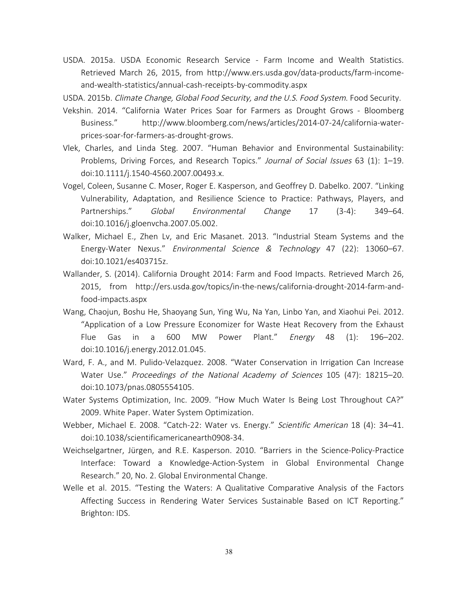USDA. 2015a. USDA Economic Research Service - Farm Income and Wealth Statistics. Retrieved March 26, 2015, from http://www.ers.usda.gov/data-products/farm-incomeand-wealth-statistics/annual-cash-receipts-by-commodity.aspx

USDA. 2015b. Climate Change, Global Food Security, and the U.S. Food System. Food Security.

- Vekshin. 2014. "California Water Prices Soar for Farmers as Drought Grows Bloomberg Business." http://www.bloomberg.com/news/articles/2014-07-24/california-waterprices-soar-for-farmers-as-drought-grows.
- Vlek, Charles, and Linda Steg. 2007. "Human Behavior and Environmental Sustainability: Problems, Driving Forces, and Research Topics." Journal of Social Issues 63 (1): 1-19. doi:10.1111/j.1540-4560.2007.00493.x.
- Vogel, Coleen, Susanne C. Moser, Roger E. Kasperson, and Geoffrey D. Dabelko. 2007. "Linking Vulnerability, Adaptation, and Resilience Science to Practice: Pathways, Players, and Partnerships." Global Environmental Change 17 (3-4): 349–64. doi:10.1016/j.gloenvcha.2007.05.002.
- Walker, Michael E., Zhen Lv, and Eric Masanet. 2013. "Industrial Steam Systems and the Energy-Water Nexus." Environmental Science & Technology 47 (22): 13060–67. doi:10.1021/es403715z.
- Wallander, S. (2014). California Drought 2014: Farm and Food Impacts. Retrieved March 26, 2015, from http://ers.usda.gov/topics/in-the-news/california-drought-2014-farm-andfood-impacts.aspx
- Wang, Chaojun, Boshu He, Shaoyang Sun, Ying Wu, Na Yan, Linbo Yan, and Xiaohui Pei. 2012. "Application of a Low Pressure Economizer for Waste Heat Recovery from the Exhaust Flue Gas in a 600 MW Power Plant." Energy 48 (1): 196-202. doi:10.1016/j.energy.2012.01.045.
- Ward, F. A., and M. Pulido-Velazquez. 2008. "Water Conservation in Irrigation Can Increase Water Use." Proceedings of the National Academy of Sciences 105 (47): 18215–20. doi:10.1073/pnas.0805554105.
- Water Systems Optimization, Inc. 2009. "How Much Water Is Being Lost Throughout CA?" 2009. White Paper. Water System Optimization.
- Webber, Michael E. 2008. "Catch-22: Water vs. Energy." Scientific American 18 (4): 34–41. doi:10.1038/scientificamericanearth0908-34.
- Weichselgartner, Jürgen, and R.E. Kasperson. 2010. "Barriers in the Science-Policy-Practice Interface: Toward a Knowledge-Action-System in Global Environmental Change Research." 20, No. 2. Global Environmental Change.
- Welle et al. 2015. "Testing the Waters: A Qualitative Comparative Analysis of the Factors Affecting Success in Rendering Water Services Sustainable Based on ICT Reporting." Brighton: IDS.